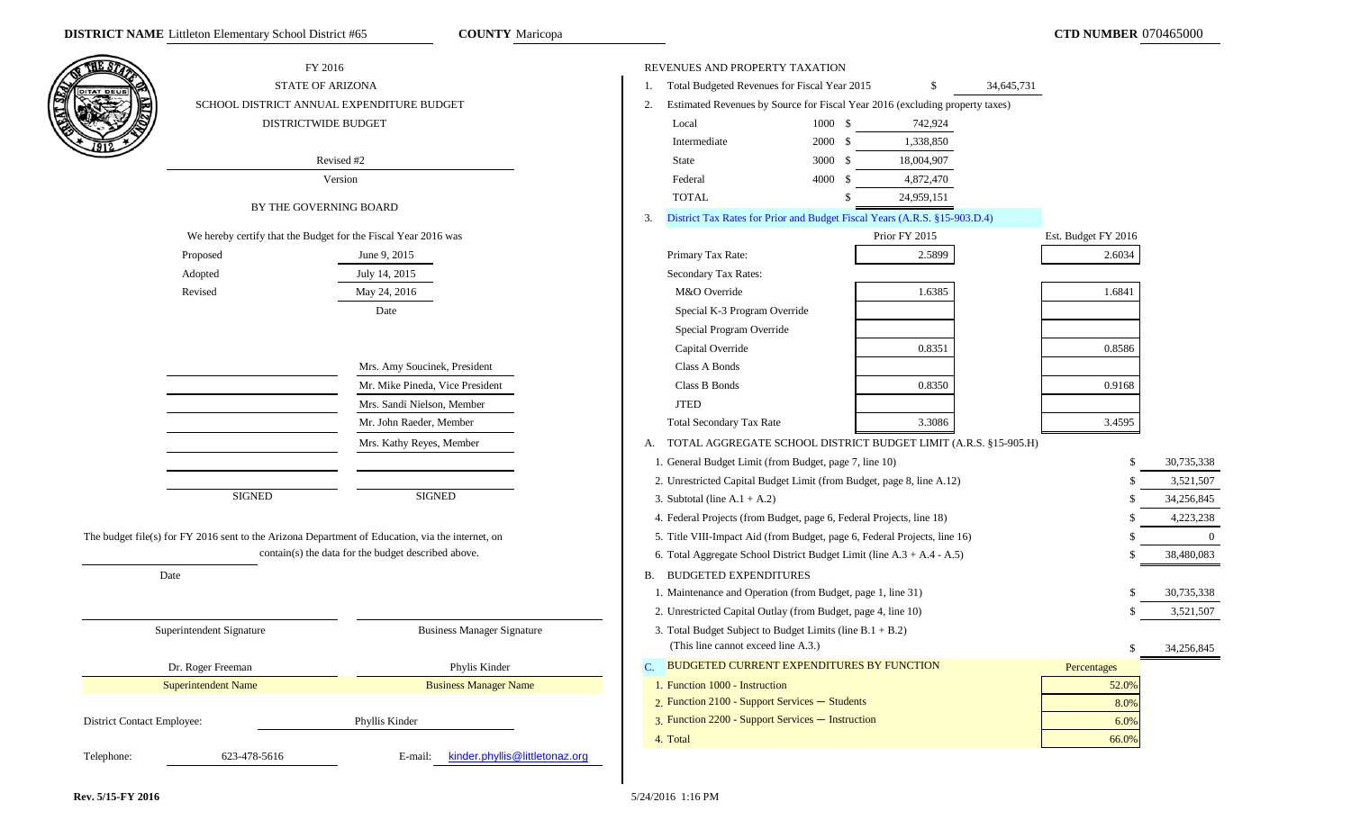**COUNTY** Maricopa



Federal 4000 \$ 4,872,470 TOTAL \$ 24,959,151 District Tax Rates for Prior and Budget Fiscal Years (A.R.S. §15-903.D.4) Prior FY 2015 Est. Budget FY 2016 Special K-3 Program Override Special Program Override Capital Override 0.8351 0.8586 Class B Bonds 1.0.9168 Total Secondary Tax Rate 3.3086 3.4595 A. TOTAL AGGREGATE SCHOOL DISTRICT BUDGET LIMIT (A.R.S. §15-905.H) 1. General Budget Limit (from Budget, page 7, line 10) \$ 30,735,338 2. Unrestricted Capital Budget Limit (from Budget, page 8, line A.12) \$ 3,521,507 3. Subtotal (line A.1 + A.2) \$ 34,256,845 4. Federal Projects (from Budget, page 6, Federal Projects, line 18) \$ 4,223,238 5. Title VIII-Impact Aid (from Budget, page 6, Federal Projects, line 16) \$ 0 6. Total Aggregate School District Budget Limit (line A.3 + A.4 - A.5) \$ 38,480,083 B. BUDGETED EXPENDITURES 1. Maintenance and Operation (from Budget, page 1, line 31) \$ 30,735,338 2. Unrestricted Capital Outlay (from Budget, page 4, line 10) \$ 3,521,507 3. Total Budget Subject to Budget Limits (line B.1 + B.2) (This line cannot exceed line A.3.)  $\qquad \qquad$  34,256,845 BUDGETED CURRENT EXPENDITURES BY FUNCTION Percentages 1. Function 1000 - Instruction 52.0%2. Function 2100 - Support Services — Students $\sim$  8.0% 8.0% 3. Function 2200 - Support Services — Instructionn and  $6.0\%$  $\frac{1}{1}$  66.0% and  $\frac{66.0\%}{1}$  66.0%

5/24/2016 1:16 PM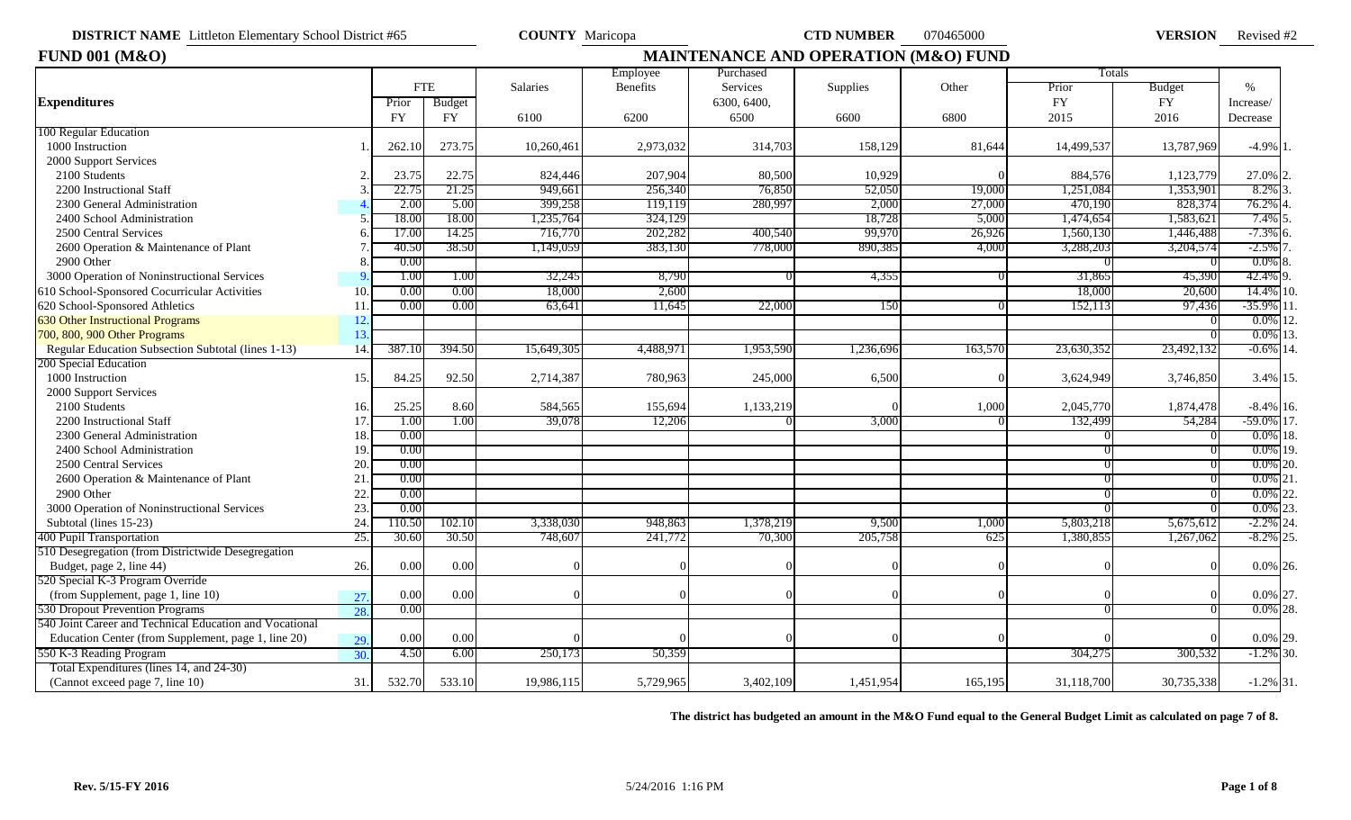Revised #2

| <b>FUND 001 (M&amp;O)</b>                                 |                   |           |            |                 |           |             | MAINTENANCE AND OPERATION (M&O) FUND |         |            |            |               |
|-----------------------------------------------------------|-------------------|-----------|------------|-----------------|-----------|-------------|--------------------------------------|---------|------------|------------|---------------|
|                                                           |                   |           |            |                 | Employee  | Purchased   |                                      |         | Totals     |            |               |
|                                                           |                   |           | <b>FTE</b> | <b>Salaries</b> | Benefits  | Services    | Supplies                             | Other   | Prior      | Budget     | $\frac{0}{0}$ |
| <b>Expenditures</b>                                       |                   | Prior     | Budget     |                 |           | 6300, 6400, |                                      |         | <b>FY</b>  | <b>FY</b>  | Increase/     |
|                                                           |                   | <b>FY</b> | <b>FY</b>  | 6100            | 6200      | 6500        | 6600                                 | 6800    | 2015       | 2016       | Decrease      |
| 100 Regular Education                                     |                   |           |            |                 |           |             |                                      |         |            |            |               |
| 1000 Instruction                                          |                   | 262.10    | 273.75     | 10,260,461      | 2,973,032 | 314,703     | 158,129                              | 81,644  | 14,499,537 | 13,787,969 | $-4.9\%$ 1    |
| 2000 Support Services                                     |                   |           |            |                 |           |             |                                      |         |            |            |               |
| 2100 Students                                             |                   | 23.75     | 22.75      | 824,446         | 207,904   | 80,500      | 10,929                               |         | 884,576    | 1,123,779  | 27.0%         |
| 2200 Instructional Staff                                  |                   | 22.75     | 21.25      | 949,661         | 256,340   | 76,850      | 52,050                               | 19,000  | 1,251,084  | 1,353,901  | 8.2%          |
| 2300 General Administration                               |                   | 2.00      | 5.00       | 399,258         | 119,119   | 280,997     | 2,000                                | 27,000  | 470,190    | 828,374    | 76.2% 4       |
| 2400 School Administration                                |                   | 18.00     | 18.00      | 1,235,764       | 324,129   |             | 18,728                               | 5,000   | 1,474,654  | 1,583,621  | 7.4% 5        |
| 2500 Central Services                                     |                   | 17.00     | 14.25      | 716,770         | 202,282   | 400,540     | 99,970                               | 26,926  | 1,560,130  | 1,446,488  | $-7.3\%$ 6.   |
| 2600 Operation & Maintenance of Plant                     |                   | 40.50     | 38.50      | 1,149,059       | 383,130   | 778,000     | 890,385                              | 4,000   | 3,288,203  | 3,204,574  | $-2.5\%$ 7    |
| 2900 Other                                                |                   | 0.00      |            |                 |           |             |                                      |         |            |            | $0.0\%$ 8.    |
| 3000 Operation of Noninstructional Services               |                   | 1.00      | 1.00       | 32,245          | 8,790     |             | 4,355                                |         | 31,865     | 45,390     | 42.4% 9.      |
| 610 School-Sponsored Cocurricular Activities              | 10                | 0.00      | 0.00       | 18,000          | 2,600     |             |                                      |         | 18,000     | 20,600     | 14.4% 10.     |
| 620 School-Sponsored Athletics                            | 11                | 0.00      | 0.00       | 63,641          | 11.645    | 22,000      | 150                                  |         | 152,113    | 97,436     | $-35.9\%$ 11  |
| <b>630 Other Instructional Programs</b>                   | 12                |           |            |                 |           |             |                                      |         |            |            | $0.0\%$ 12    |
| 700, 800, 900 Other Programs                              | 13.               |           |            |                 |           |             |                                      |         |            |            | $0.0\%$ 13.   |
| <b>Regular Education Subsection Subtotal (lines 1-13)</b> | 14.               | 387.10    | 394.50     | 15,649,305      | 4,488,971 | 1,953,590   | 1,236,696                            | 163,570 | 23,630,352 | 23,492,132 | $-0.6\%$ 14.  |
| 200 Special Education                                     |                   |           |            |                 |           |             |                                      |         |            |            |               |
| 1000 Instruction                                          | 15.               | 84.25     | 92.50      | 2,714,387       | 780,963   | 245,000     | 6,500                                |         | 3,624,949  | 3,746,850  | 3.4% 15.      |
| 2000 Support Services                                     |                   |           |            |                 |           |             |                                      |         |            |            |               |
| 2100 Students                                             | 16.               | 25.25     | 8.60       | 584,565         | 155,694   | 1,133,219   |                                      | 1,000   | 2,045,770  | 1,874,478  | $-8.4\%$ 16.  |
| 2200 Instructional Staff                                  | 17                | 1.00      | 1.00       | 39,078          | 12,206    |             | 3,000                                |         | 132,499    | 54,284     | $-59.0\%$ 17. |
| 2300 General Administration                               | 18.               | 0.00      |            |                 |           |             |                                      |         |            |            | $0.0\%$ 18.   |
| 2400 School Administration                                | 19                | 0.00      |            |                 |           |             |                                      |         |            |            | $0.0\%$ 19.   |
| 2500 Central Services                                     | 20.               | 0.00      |            |                 |           |             |                                      |         |            |            | $0.0\%$ 20.   |
| 2600 Operation & Maintenance of Plant                     | 21                | 0.00      |            |                 |           |             |                                      |         |            |            | $0.0\%$ 21    |
| 2900 Other                                                | 22                | 0.00      |            |                 |           |             |                                      |         |            |            | $0.0\%$ 22.   |
| 3000 Operation of Noninstructional Services               | 23                | 0.00      |            |                 |           |             |                                      |         |            |            | $0.0\%$ 23.   |
| Subtotal (lines 15-23)                                    | 24                | 110.50    | 102.10     | 3,338,030       | 948,863   | 1,378,219   | 9,500                                | 1,000   | 5,803,218  | 5,675,612  | $-2.2\%$ 24   |
| 400 Pupil Transportation                                  | 25.               | 30.60     | 30.50      | 748,607         | 241,772   | 70,300      | 205,758                              | 625     | 1,380,855  | 1,267,062  | $-8.2\%$ 25.  |
| 510 Desegregation (from Districtwide Desegregation        |                   |           |            |                 |           |             |                                      |         |            |            |               |
| Budget, page 2, line 44)                                  | 26.               | 0.00      | 0.00       |                 |           |             |                                      |         |            |            | $0.0\%$ 26.   |
| 520 Special K-3 Program Override                          |                   |           |            |                 |           |             |                                      |         |            |            |               |
| (from Supplement, page 1, line 10)                        | 27.               | 0.00      | 0.00       | $\Omega$        |           |             |                                      |         |            |            | 0.0% 27.      |
| 530 Dropout Prevention Programs                           | 28                | 0.00      |            |                 |           |             |                                      |         |            |            | $0.0\%$ 28.   |
| 540 Joint Career and Technical Education and Vocational   |                   |           |            |                 |           |             |                                      |         |            |            |               |
| Education Center (from Supplement, page 1, line 20)       | 29.               | 0.00      | 0.00       |                 |           |             |                                      |         |            |            | $0.0\%$ 29.   |
| 550 K-3 Reading Program                                   | $\overline{30}$ . | 4.50      | 6.00       | 250,173         | 50,359    |             |                                      |         | 304,275    | 300.532    | $-1.2\%$ 30.  |
| Total Expenditures (lines 14, and 24-30)                  |                   |           |            |                 |           |             |                                      |         |            |            |               |
| (Cannot exceed page 7, line 10)                           | 31.               | 532.70    | 533.10     | 19,986,115      | 5,729,965 | 3,402,109   | 1,451,954                            | 165,195 | 31,118,700 | 30,735,338 | $-1.2\%$ 31.  |
|                                                           |                   |           |            |                 |           |             |                                      |         |            |            |               |

**The district has budgeted an amount in the M&O Fund equal to the General Budget Limit as calculated on page 7 of 8.**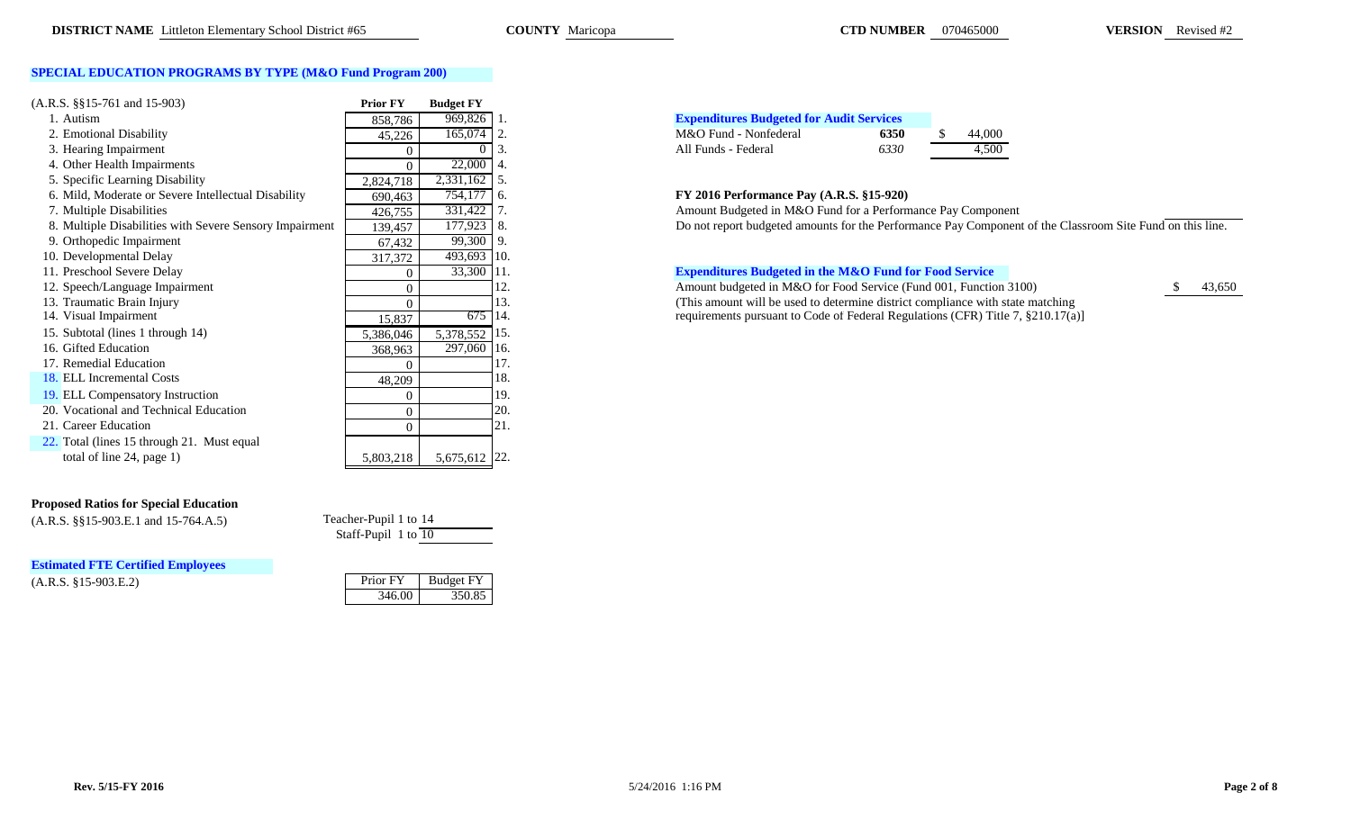### **SPECIAL EDUCATION PROGRAMS BY TYPE (M&O Fund Program 200)**

| $(A.R.S. \S\S15-761 \text{ and } 15-903)$               | <b>Prior FY</b> | <b>Budget FY</b> |                                                                        |
|---------------------------------------------------------|-----------------|------------------|------------------------------------------------------------------------|
| 1. Autism                                               | 858,786         | 969,826          | <b>Expenditures Budgeted for Audit Services</b><br>-1.                 |
| 2. Emotional Disability                                 | 45,226          | 165,074 2.       | M&O Fund - Nonfederal<br>44,000<br>6350                                |
| 3. Hearing Impairment                                   |                 |                  | All Funds - Federal<br>6330<br>4,500                                   |
| 4. Other Health Impairments                             | 0               | 22,000           | -4.                                                                    |
| 5. Specific Learning Disability                         | 2,824,718       | 2,331,162        | -5.                                                                    |
| 6. Mild, Moderate or Severe Intellectual Disability     | 690,463         | 754,177          | FY 2016 Performance Pay (A.R.S. §15-920)<br>-6.                        |
| 7. Multiple Disabilities                                | 426,755         | 331,422          | Amount Budgeted in M&O Fund for a Performance Pay Compor               |
| 8. Multiple Disabilities with Severe Sensory Impairment | 139,457         | 177,923          | Do not report budgeted amounts for the Performance Pay Compo<br>8.     |
| 9. Orthopedic Impairment                                | 67,432          | 99,300           | -9.                                                                    |
| 10. Developmental Delay                                 | 317,372         | 493,693 10.      |                                                                        |
| 11. Preschool Severe Delay                              | 0               | 33,300 11.       | <b>Expenditures Budgeted in the M&amp;O Fund for Food Service</b>      |
| 12. Speech/Language Impairment                          | 0               |                  | Amount budgeted in M&O for Food Service (Fund 001, Function<br>12.     |
| 13. Traumatic Brain Injury                              | 0               |                  | (This amount will be used to determine district compliance with<br>13. |
| 14. Visual Impairment                                   | 15,837          | 675 14.          | requirements pursuant to Code of Federal Regulations (CFR) Tit         |
| 15. Subtotal (lines 1 through 14)                       | 5,386,046       | 5,378,552        | 15.                                                                    |
| 16. Gifted Education                                    | 368,963         | 297,060          | 16.                                                                    |
| 17. Remedial Education                                  | 0               |                  | 17.                                                                    |
| 18. ELL Incremental Costs                               | 48,209          |                  | 18.                                                                    |
| 19. ELL Compensatory Instruction                        |                 |                  | 19.                                                                    |
| 20. Vocational and Technical Education                  | 0               |                  | 20.                                                                    |
| 21. Career Education                                    | 0               |                  | 21.                                                                    |
| 22. Total (lines 15 through 21. Must equal              |                 |                  |                                                                        |
| total of line 24, page 1)                               | 5,803,218       | 5,675,612 22.    |                                                                        |

### **Proposed Ratios for Special Education**

 $(A.R.S. \$ §§15-903.E.1 and 15-764.A.5)

 $(A.R.S. §15-903.E.2)$ **Estimated FTE Certified Employees**

| Teacher-Pupil 1 to 14 |  |
|-----------------------|--|
| Staff-Pupil 1 to 10   |  |

| Prior FY | Budget FY |
|----------|-----------|
| 346.00   | 350.85    |

| <b>Expenditures Budgeted for Audit Services</b> |      |        |
|-------------------------------------------------|------|--------|
| M&O Fund - Nonfederal                           | 6350 | 44,000 |
| All Funds - Federal                             | 6330 | 4.500  |

### 6. Mild, Moderate or Severe Intellectual Disability 690,463 754,177 6. **FY 2016 Performance Pay (A.R.S. §15-920)**

Amount Budgeted in M&O Fund for a Performance Pay Component

Bo not report budgeted amounts for the Performance Pay Component of the Classroom Site Fund on this line.

### **Expenditures Budgeted in the M&O Fund for Food Service**

13,650 Amount budgeted in M&O for Food Service (Fund 001, Function 3100) 43,650 (This amount will be used to determine district compliance with state matching requirements pursuant to Code of Federal Regulations (CFR) Title 7,  $$210.17(a)]$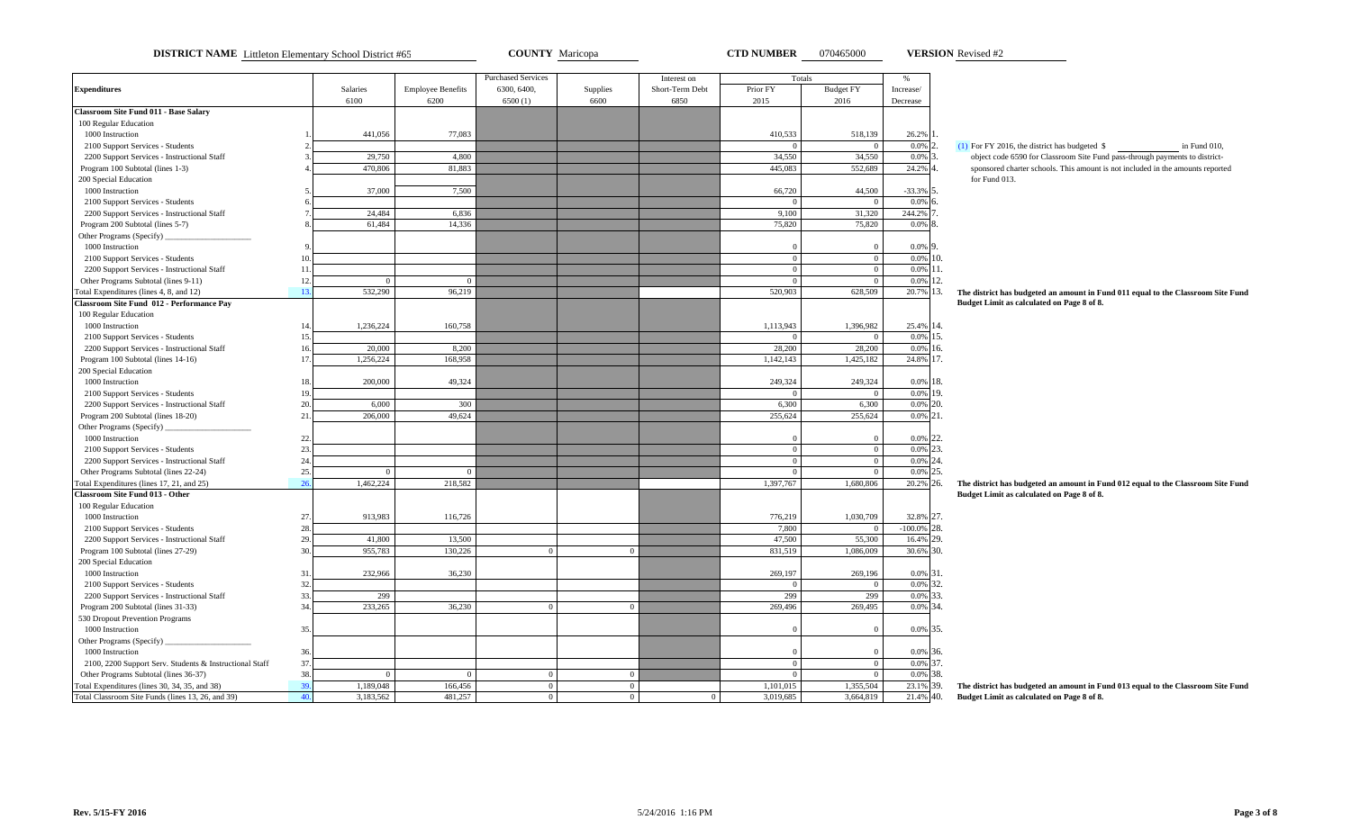**DISTRICT NAME** Littleton Elementary School District #65 **COUNTY** Maricopa **CTD NUMBER** 070465000 **VERSION** Revised #2

**VERSION**

| <b>Expenditures</b><br>Salaries<br><b>Employee Benefits</b><br>6300, 6400,<br>Supplies<br>Short-Term Debt<br>Prior FY<br><b>Budget FY</b><br>Increase/<br>6100<br>6600<br>6850<br>6200<br>6500(1)<br>2015<br>2016<br>Decrease<br><b>Classroom Site Fund 011 - Base Salary</b><br>100 Regular Education<br>1000 Instruction<br>441,056<br>77,083<br>410,533<br>518,139<br>26.2%<br>$0.0\%$ 2.<br>$(1)$ For FY 2016, the district has budgeted \$<br>2100 Support Services - Students<br>$\Omega$<br>$\Omega$<br>34,550<br>34,550<br>$0.0\%$ 3.<br>2200 Support Services - Instructional Staff<br>29,750<br>4.800<br>object code 6590 for Classroom Site Fund pass-through payments to district-<br>470,806<br>81,883<br>445,083<br>552,689<br>24.2% 4<br>Program 100 Subtotal (lines 1-3)<br>sponsored charter schools. This amount is not included in the amounts reported<br>for Fund 013.<br>200 Special Education<br>1000 Instruction<br>37,000<br>7,500<br>66,720<br>44,500<br>$-33.3\%$ 5.<br>$0.0\%$ 6.<br>2100 Support Services - Students<br>$\Omega$<br>$\overline{0}$<br>24,484<br>9,100<br>31,320<br>244.2% 7<br>2200 Support Services - Instructional Staff<br>6,836<br>61,484<br>14,336<br>75,820<br>75,820<br>Program 200 Subtotal (lines 5-7)<br>$0.0\%$ 8.<br>Other Programs (Specify)<br>1000 Instruction<br>$0.0\%$ 9.<br>$\Omega$<br>$\Omega$<br>$\theta$<br>$\overline{0}$<br>$0.0\%$ 10.<br>2100 Support Services - Students<br>10<br>$0.0\%$ 11.<br>2200 Support Services - Instructional Staff<br>$\overline{0}$<br>$\overline{0}$<br>11<br>0.0% 12.<br>12<br>Other Programs Subtotal (lines 9-11)<br>$\mathbf{0}$<br>$\overline{0}$<br>$\Omega$<br>$\Omega$<br>532,290<br>96,219<br>520,903<br>628,509<br>20.7% 13.<br>Total Expenditures (lines 4, 8, and 12)<br>13.<br>The district has budgeted an amount in Fund 011 equal to the Classroom Site Fund<br>Classroom Site Fund 012 - Performance Pay<br>Budget Limit as calculated on Page 8 of 8. |              |
|------------------------------------------------------------------------------------------------------------------------------------------------------------------------------------------------------------------------------------------------------------------------------------------------------------------------------------------------------------------------------------------------------------------------------------------------------------------------------------------------------------------------------------------------------------------------------------------------------------------------------------------------------------------------------------------------------------------------------------------------------------------------------------------------------------------------------------------------------------------------------------------------------------------------------------------------------------------------------------------------------------------------------------------------------------------------------------------------------------------------------------------------------------------------------------------------------------------------------------------------------------------------------------------------------------------------------------------------------------------------------------------------------------------------------------------------------------------------------------------------------------------------------------------------------------------------------------------------------------------------------------------------------------------------------------------------------------------------------------------------------------------------------------------------------------------------------------------------------------------------------------------------------------------------------------------------------------------------------|--------------|
|                                                                                                                                                                                                                                                                                                                                                                                                                                                                                                                                                                                                                                                                                                                                                                                                                                                                                                                                                                                                                                                                                                                                                                                                                                                                                                                                                                                                                                                                                                                                                                                                                                                                                                                                                                                                                                                                                                                                                                              |              |
|                                                                                                                                                                                                                                                                                                                                                                                                                                                                                                                                                                                                                                                                                                                                                                                                                                                                                                                                                                                                                                                                                                                                                                                                                                                                                                                                                                                                                                                                                                                                                                                                                                                                                                                                                                                                                                                                                                                                                                              |              |
|                                                                                                                                                                                                                                                                                                                                                                                                                                                                                                                                                                                                                                                                                                                                                                                                                                                                                                                                                                                                                                                                                                                                                                                                                                                                                                                                                                                                                                                                                                                                                                                                                                                                                                                                                                                                                                                                                                                                                                              |              |
|                                                                                                                                                                                                                                                                                                                                                                                                                                                                                                                                                                                                                                                                                                                                                                                                                                                                                                                                                                                                                                                                                                                                                                                                                                                                                                                                                                                                                                                                                                                                                                                                                                                                                                                                                                                                                                                                                                                                                                              |              |
|                                                                                                                                                                                                                                                                                                                                                                                                                                                                                                                                                                                                                                                                                                                                                                                                                                                                                                                                                                                                                                                                                                                                                                                                                                                                                                                                                                                                                                                                                                                                                                                                                                                                                                                                                                                                                                                                                                                                                                              |              |
|                                                                                                                                                                                                                                                                                                                                                                                                                                                                                                                                                                                                                                                                                                                                                                                                                                                                                                                                                                                                                                                                                                                                                                                                                                                                                                                                                                                                                                                                                                                                                                                                                                                                                                                                                                                                                                                                                                                                                                              | in Fund 010, |
|                                                                                                                                                                                                                                                                                                                                                                                                                                                                                                                                                                                                                                                                                                                                                                                                                                                                                                                                                                                                                                                                                                                                                                                                                                                                                                                                                                                                                                                                                                                                                                                                                                                                                                                                                                                                                                                                                                                                                                              |              |
|                                                                                                                                                                                                                                                                                                                                                                                                                                                                                                                                                                                                                                                                                                                                                                                                                                                                                                                                                                                                                                                                                                                                                                                                                                                                                                                                                                                                                                                                                                                                                                                                                                                                                                                                                                                                                                                                                                                                                                              |              |
|                                                                                                                                                                                                                                                                                                                                                                                                                                                                                                                                                                                                                                                                                                                                                                                                                                                                                                                                                                                                                                                                                                                                                                                                                                                                                                                                                                                                                                                                                                                                                                                                                                                                                                                                                                                                                                                                                                                                                                              |              |
|                                                                                                                                                                                                                                                                                                                                                                                                                                                                                                                                                                                                                                                                                                                                                                                                                                                                                                                                                                                                                                                                                                                                                                                                                                                                                                                                                                                                                                                                                                                                                                                                                                                                                                                                                                                                                                                                                                                                                                              |              |
|                                                                                                                                                                                                                                                                                                                                                                                                                                                                                                                                                                                                                                                                                                                                                                                                                                                                                                                                                                                                                                                                                                                                                                                                                                                                                                                                                                                                                                                                                                                                                                                                                                                                                                                                                                                                                                                                                                                                                                              |              |
|                                                                                                                                                                                                                                                                                                                                                                                                                                                                                                                                                                                                                                                                                                                                                                                                                                                                                                                                                                                                                                                                                                                                                                                                                                                                                                                                                                                                                                                                                                                                                                                                                                                                                                                                                                                                                                                                                                                                                                              |              |
|                                                                                                                                                                                                                                                                                                                                                                                                                                                                                                                                                                                                                                                                                                                                                                                                                                                                                                                                                                                                                                                                                                                                                                                                                                                                                                                                                                                                                                                                                                                                                                                                                                                                                                                                                                                                                                                                                                                                                                              |              |
|                                                                                                                                                                                                                                                                                                                                                                                                                                                                                                                                                                                                                                                                                                                                                                                                                                                                                                                                                                                                                                                                                                                                                                                                                                                                                                                                                                                                                                                                                                                                                                                                                                                                                                                                                                                                                                                                                                                                                                              |              |
|                                                                                                                                                                                                                                                                                                                                                                                                                                                                                                                                                                                                                                                                                                                                                                                                                                                                                                                                                                                                                                                                                                                                                                                                                                                                                                                                                                                                                                                                                                                                                                                                                                                                                                                                                                                                                                                                                                                                                                              |              |
|                                                                                                                                                                                                                                                                                                                                                                                                                                                                                                                                                                                                                                                                                                                                                                                                                                                                                                                                                                                                                                                                                                                                                                                                                                                                                                                                                                                                                                                                                                                                                                                                                                                                                                                                                                                                                                                                                                                                                                              |              |
|                                                                                                                                                                                                                                                                                                                                                                                                                                                                                                                                                                                                                                                                                                                                                                                                                                                                                                                                                                                                                                                                                                                                                                                                                                                                                                                                                                                                                                                                                                                                                                                                                                                                                                                                                                                                                                                                                                                                                                              |              |
|                                                                                                                                                                                                                                                                                                                                                                                                                                                                                                                                                                                                                                                                                                                                                                                                                                                                                                                                                                                                                                                                                                                                                                                                                                                                                                                                                                                                                                                                                                                                                                                                                                                                                                                                                                                                                                                                                                                                                                              |              |
|                                                                                                                                                                                                                                                                                                                                                                                                                                                                                                                                                                                                                                                                                                                                                                                                                                                                                                                                                                                                                                                                                                                                                                                                                                                                                                                                                                                                                                                                                                                                                                                                                                                                                                                                                                                                                                                                                                                                                                              |              |
|                                                                                                                                                                                                                                                                                                                                                                                                                                                                                                                                                                                                                                                                                                                                                                                                                                                                                                                                                                                                                                                                                                                                                                                                                                                                                                                                                                                                                                                                                                                                                                                                                                                                                                                                                                                                                                                                                                                                                                              |              |
| 100 Regular Education                                                                                                                                                                                                                                                                                                                                                                                                                                                                                                                                                                                                                                                                                                                                                                                                                                                                                                                                                                                                                                                                                                                                                                                                                                                                                                                                                                                                                                                                                                                                                                                                                                                                                                                                                                                                                                                                                                                                                        |              |
| 1,396,982<br>25.4% 14.<br>1000 Instruction<br>14<br>1,236,224<br>160,758<br>1,113,943                                                                                                                                                                                                                                                                                                                                                                                                                                                                                                                                                                                                                                                                                                                                                                                                                                                                                                                                                                                                                                                                                                                                                                                                                                                                                                                                                                                                                                                                                                                                                                                                                                                                                                                                                                                                                                                                                        |              |
| $0.0\%$ 15.<br>2100 Support Services - Students<br>15<br>$\overline{0}$<br>$\Omega$                                                                                                                                                                                                                                                                                                                                                                                                                                                                                                                                                                                                                                                                                                                                                                                                                                                                                                                                                                                                                                                                                                                                                                                                                                                                                                                                                                                                                                                                                                                                                                                                                                                                                                                                                                                                                                                                                          |              |
| 20,000<br>28,200<br>28,200<br>$0.0\%$ 16.<br>2200 Support Services - Instructional Staff<br>16<br>8,200                                                                                                                                                                                                                                                                                                                                                                                                                                                                                                                                                                                                                                                                                                                                                                                                                                                                                                                                                                                                                                                                                                                                                                                                                                                                                                                                                                                                                                                                                                                                                                                                                                                                                                                                                                                                                                                                      |              |
| 1,256,224<br>168,958<br>24.8% 17.<br>Program 100 Subtotal (lines 14-16)<br>1,142,143<br>1,425,182<br>17.                                                                                                                                                                                                                                                                                                                                                                                                                                                                                                                                                                                                                                                                                                                                                                                                                                                                                                                                                                                                                                                                                                                                                                                                                                                                                                                                                                                                                                                                                                                                                                                                                                                                                                                                                                                                                                                                     |              |
| 200 Special Education                                                                                                                                                                                                                                                                                                                                                                                                                                                                                                                                                                                                                                                                                                                                                                                                                                                                                                                                                                                                                                                                                                                                                                                                                                                                                                                                                                                                                                                                                                                                                                                                                                                                                                                                                                                                                                                                                                                                                        |              |
| 1000 Instruction<br>200,000<br>49,324<br>249,324<br>249,324<br>$0.0\%$ 18.<br>18                                                                                                                                                                                                                                                                                                                                                                                                                                                                                                                                                                                                                                                                                                                                                                                                                                                                                                                                                                                                                                                                                                                                                                                                                                                                                                                                                                                                                                                                                                                                                                                                                                                                                                                                                                                                                                                                                             |              |
| 0.0% 19.<br>19.<br>$\Omega$<br>2100 Support Services - Students<br>$\Omega$                                                                                                                                                                                                                                                                                                                                                                                                                                                                                                                                                                                                                                                                                                                                                                                                                                                                                                                                                                                                                                                                                                                                                                                                                                                                                                                                                                                                                                                                                                                                                                                                                                                                                                                                                                                                                                                                                                  |              |
| $0.0\%$ 20.<br>20.<br>6,300<br>2200 Support Services - Instructional Staff<br>6,000<br>300<br>6,300                                                                                                                                                                                                                                                                                                                                                                                                                                                                                                                                                                                                                                                                                                                                                                                                                                                                                                                                                                                                                                                                                                                                                                                                                                                                                                                                                                                                                                                                                                                                                                                                                                                                                                                                                                                                                                                                          |              |
| 206,000<br>255,624<br>255,624<br>Program 200 Subtotal (lines 18-20)<br>21<br>49,624<br>$0.0\%$ 21.                                                                                                                                                                                                                                                                                                                                                                                                                                                                                                                                                                                                                                                                                                                                                                                                                                                                                                                                                                                                                                                                                                                                                                                                                                                                                                                                                                                                                                                                                                                                                                                                                                                                                                                                                                                                                                                                           |              |
| Other Programs (Specify)                                                                                                                                                                                                                                                                                                                                                                                                                                                                                                                                                                                                                                                                                                                                                                                                                                                                                                                                                                                                                                                                                                                                                                                                                                                                                                                                                                                                                                                                                                                                                                                                                                                                                                                                                                                                                                                                                                                                                     |              |
| 0.0% 22.<br>1000 Instruction<br>22.<br>$\Omega$<br>$\Omega$                                                                                                                                                                                                                                                                                                                                                                                                                                                                                                                                                                                                                                                                                                                                                                                                                                                                                                                                                                                                                                                                                                                                                                                                                                                                                                                                                                                                                                                                                                                                                                                                                                                                                                                                                                                                                                                                                                                  |              |
| $0.0\%$ 23.<br>23.<br>2100 Support Services - Students<br>$\mathbf{0}$<br>$\Omega$                                                                                                                                                                                                                                                                                                                                                                                                                                                                                                                                                                                                                                                                                                                                                                                                                                                                                                                                                                                                                                                                                                                                                                                                                                                                                                                                                                                                                                                                                                                                                                                                                                                                                                                                                                                                                                                                                           |              |
| 24.<br>$\Omega$<br>$0.0\%$ 24.<br>2200 Support Services - Instructional Staff<br>$\Omega$                                                                                                                                                                                                                                                                                                                                                                                                                                                                                                                                                                                                                                                                                                                                                                                                                                                                                                                                                                                                                                                                                                                                                                                                                                                                                                                                                                                                                                                                                                                                                                                                                                                                                                                                                                                                                                                                                    |              |
| $0.0\%$ 25.<br>25.<br>Other Programs Subtotal (lines 22-24)<br>$\Omega$<br>$\Omega$<br>$\overline{0}$<br>$\Omega$                                                                                                                                                                                                                                                                                                                                                                                                                                                                                                                                                                                                                                                                                                                                                                                                                                                                                                                                                                                                                                                                                                                                                                                                                                                                                                                                                                                                                                                                                                                                                                                                                                                                                                                                                                                                                                                            |              |
| 1,462,224<br>Total Expenditures (lines 17, 21, and 25)<br>26<br>218,582<br>1,397,767<br>1,680,806<br>20.2% 26.<br>The district has budgeted an amount in Fund 012 equal to the Classroom Site Fund                                                                                                                                                                                                                                                                                                                                                                                                                                                                                                                                                                                                                                                                                                                                                                                                                                                                                                                                                                                                                                                                                                                                                                                                                                                                                                                                                                                                                                                                                                                                                                                                                                                                                                                                                                           |              |
| <b>Classroom Site Fund 013 - Other</b><br>Budget Limit as calculated on Page 8 of 8.                                                                                                                                                                                                                                                                                                                                                                                                                                                                                                                                                                                                                                                                                                                                                                                                                                                                                                                                                                                                                                                                                                                                                                                                                                                                                                                                                                                                                                                                                                                                                                                                                                                                                                                                                                                                                                                                                         |              |
| 100 Regular Education                                                                                                                                                                                                                                                                                                                                                                                                                                                                                                                                                                                                                                                                                                                                                                                                                                                                                                                                                                                                                                                                                                                                                                                                                                                                                                                                                                                                                                                                                                                                                                                                                                                                                                                                                                                                                                                                                                                                                        |              |
| 32.8% 27.<br>1000 Instruction<br>27.<br>913,983<br>116,726<br>776,219<br>1,030,709                                                                                                                                                                                                                                                                                                                                                                                                                                                                                                                                                                                                                                                                                                                                                                                                                                                                                                                                                                                                                                                                                                                                                                                                                                                                                                                                                                                                                                                                                                                                                                                                                                                                                                                                                                                                                                                                                           |              |
| 28.<br>7,800<br>$-100.0\%$ 28.<br>2100 Support Services - Students                                                                                                                                                                                                                                                                                                                                                                                                                                                                                                                                                                                                                                                                                                                                                                                                                                                                                                                                                                                                                                                                                                                                                                                                                                                                                                                                                                                                                                                                                                                                                                                                                                                                                                                                                                                                                                                                                                           |              |
| 29.<br>47,500<br>55,300<br>16.4% 29.<br>2200 Support Services - Instructional Staff<br>41,800<br>13,500                                                                                                                                                                                                                                                                                                                                                                                                                                                                                                                                                                                                                                                                                                                                                                                                                                                                                                                                                                                                                                                                                                                                                                                                                                                                                                                                                                                                                                                                                                                                                                                                                                                                                                                                                                                                                                                                      |              |
| 30.<br>955,783<br>130,226<br>1,086,009<br>30.6% 30.<br>Program 100 Subtotal (lines 27-29)<br>831,519<br>$\Omega$<br>$\Omega$                                                                                                                                                                                                                                                                                                                                                                                                                                                                                                                                                                                                                                                                                                                                                                                                                                                                                                                                                                                                                                                                                                                                                                                                                                                                                                                                                                                                                                                                                                                                                                                                                                                                                                                                                                                                                                                 |              |
| 200 Special Education                                                                                                                                                                                                                                                                                                                                                                                                                                                                                                                                                                                                                                                                                                                                                                                                                                                                                                                                                                                                                                                                                                                                                                                                                                                                                                                                                                                                                                                                                                                                                                                                                                                                                                                                                                                                                                                                                                                                                        |              |
| 1000 Instruction<br>232,966<br>269,197<br>0.0% 31.<br>36,230<br>269,196<br>31                                                                                                                                                                                                                                                                                                                                                                                                                                                                                                                                                                                                                                                                                                                                                                                                                                                                                                                                                                                                                                                                                                                                                                                                                                                                                                                                                                                                                                                                                                                                                                                                                                                                                                                                                                                                                                                                                                |              |
| 0.0% 32.<br>32.<br>2100 Support Services - Students<br>$\Omega$                                                                                                                                                                                                                                                                                                                                                                                                                                                                                                                                                                                                                                                                                                                                                                                                                                                                                                                                                                                                                                                                                                                                                                                                                                                                                                                                                                                                                                                                                                                                                                                                                                                                                                                                                                                                                                                                                                              |              |
| 33.<br>299<br>0.0% 33.<br>299<br>299<br>2200 Support Services - Instructional Staff                                                                                                                                                                                                                                                                                                                                                                                                                                                                                                                                                                                                                                                                                                                                                                                                                                                                                                                                                                                                                                                                                                                                                                                                                                                                                                                                                                                                                                                                                                                                                                                                                                                                                                                                                                                                                                                                                          |              |
| 34.<br>233,265<br>36,230<br>269,496<br>0.0% 34.<br>269,495<br>Program 200 Subtotal (lines 31-33)<br>$\theta$<br>$\overline{0}$                                                                                                                                                                                                                                                                                                                                                                                                                                                                                                                                                                                                                                                                                                                                                                                                                                                                                                                                                                                                                                                                                                                                                                                                                                                                                                                                                                                                                                                                                                                                                                                                                                                                                                                                                                                                                                               |              |
| 530 Dropout Prevention Programs                                                                                                                                                                                                                                                                                                                                                                                                                                                                                                                                                                                                                                                                                                                                                                                                                                                                                                                                                                                                                                                                                                                                                                                                                                                                                                                                                                                                                                                                                                                                                                                                                                                                                                                                                                                                                                                                                                                                              |              |
| 1000 Instruction<br>35.<br>0.0% 35.<br>$\Omega$<br>$\Omega$                                                                                                                                                                                                                                                                                                                                                                                                                                                                                                                                                                                                                                                                                                                                                                                                                                                                                                                                                                                                                                                                                                                                                                                                                                                                                                                                                                                                                                                                                                                                                                                                                                                                                                                                                                                                                                                                                                                  |              |
| Other Programs (Specify)                                                                                                                                                                                                                                                                                                                                                                                                                                                                                                                                                                                                                                                                                                                                                                                                                                                                                                                                                                                                                                                                                                                                                                                                                                                                                                                                                                                                                                                                                                                                                                                                                                                                                                                                                                                                                                                                                                                                                     |              |
| 1000 Instruction<br>36.<br>$0.0\%$ 36.<br>$\Omega$                                                                                                                                                                                                                                                                                                                                                                                                                                                                                                                                                                                                                                                                                                                                                                                                                                                                                                                                                                                                                                                                                                                                                                                                                                                                                                                                                                                                                                                                                                                                                                                                                                                                                                                                                                                                                                                                                                                           |              |
| 37.<br>$\overline{0}$<br>0.0% 37.<br>2100, 2200 Support Serv. Students & Instructional Staff<br>$\Omega$                                                                                                                                                                                                                                                                                                                                                                                                                                                                                                                                                                                                                                                                                                                                                                                                                                                                                                                                                                                                                                                                                                                                                                                                                                                                                                                                                                                                                                                                                                                                                                                                                                                                                                                                                                                                                                                                     |              |
| 0.0% 38.<br>38.<br>Other Programs Subtotal (lines 36-37)<br>$\overline{0}$<br>$\overline{0}$<br>$\overline{0}$<br>$\bf{0}$<br>$\overline{0}$<br>$\Omega$                                                                                                                                                                                                                                                                                                                                                                                                                                                                                                                                                                                                                                                                                                                                                                                                                                                                                                                                                                                                                                                                                                                                                                                                                                                                                                                                                                                                                                                                                                                                                                                                                                                                                                                                                                                                                     |              |
| Total Expenditures (lines 30, 34, 35, and 38)<br>39.<br>1,189,048<br>166,456<br>1,355,504<br>23.1% 39.<br>$\theta$<br>$\Omega$<br>1,101,015<br>The district has budgeted an amount in Fund 013 equal to the Classroom Site Fund                                                                                                                                                                                                                                                                                                                                                                                                                                                                                                                                                                                                                                                                                                                                                                                                                                                                                                                                                                                                                                                                                                                                                                                                                                                                                                                                                                                                                                                                                                                                                                                                                                                                                                                                              |              |
| Total Classroom Site Funds (lines 13, 26, and 39)<br>3,183,562<br>481,257<br>3,019,685<br>3,664,819<br>21.4% 40.<br>Budget Limit as calculated on Page 8 of 8.<br>40.<br>$\mathbf{0}$<br>$\overline{0}$<br>$\overline{0}$                                                                                                                                                                                                                                                                                                                                                                                                                                                                                                                                                                                                                                                                                                                                                                                                                                                                                                                                                                                                                                                                                                                                                                                                                                                                                                                                                                                                                                                                                                                                                                                                                                                                                                                                                    |              |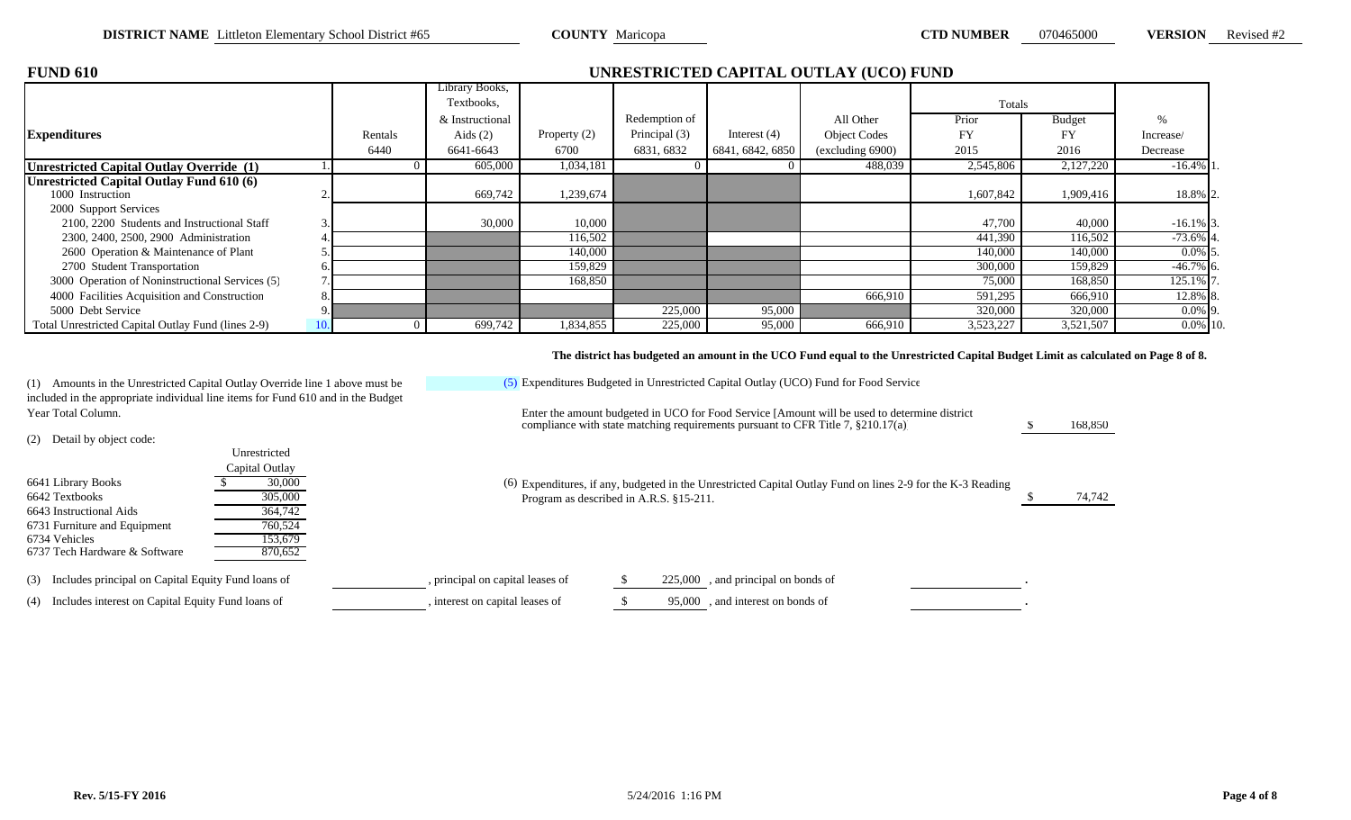\$ 168,850

| <b>RSION</b> |  | Revised #2 |  |
|--------------|--|------------|--|
|              |  |            |  |

| <b>FUND 610</b>                                    |         |                 |              |               |                  | UNRESTRICTED CAPITAL OUTLAY (UCO) FUND |           |               |              |
|----------------------------------------------------|---------|-----------------|--------------|---------------|------------------|----------------------------------------|-----------|---------------|--------------|
|                                                    |         | Library Books,  |              |               |                  |                                        |           |               |              |
|                                                    |         | Textbooks.      |              |               |                  |                                        | Totals    |               |              |
|                                                    |         | & Instructional |              | Redemption of |                  | All Other                              | Prior     | <b>Budget</b> |              |
| <b>Expenditures</b>                                | Rentals | Aids $(2)$      | Property (2) | Principal (3) | Interest $(4)$   | <b>Object Codes</b>                    | FY        | FY            | Increase/    |
|                                                    | 6440    | 6641-6643       | 6700         | 6831, 6832    | 6841, 6842, 6850 | (excluding 6900)                       | 2015      | 2016          | Decrease     |
| <b>Unrestricted Capital Outlay Override (1)</b>    |         | 605,000         | 1,034,181    |               |                  | 488,039                                | 2,545,806 | 2,127,220     | $-16.4\%$ 1  |
| Unrestricted Capital Outlay Fund 610 (6)           |         |                 |              |               |                  |                                        |           |               |              |
| 1000 Instruction                                   |         | 669,742         | 1,239,674    |               |                  |                                        | 1,607,842 | 1,909,416     | 18.8% 2.     |
| 2000 Support Services                              |         |                 |              |               |                  |                                        |           |               |              |
| 2100, 2200 Students and Instructional Staff        |         | 30,000          | 10,000       |               |                  |                                        | 47,700    | 40,000        | $-16.1\%$ 3. |
| 2300, 2400, 2500, 2900 Administration              |         |                 | 116,502      |               |                  |                                        | 441,390   | 116,502       | $-73.6\%$ 4. |
| 2600 Operation & Maintenance of Plant              |         |                 | 140,000      |               |                  |                                        | 140,000   | 140,000       | $0.0\%$ 5.   |
| 2700 Student Transportation                        |         |                 | 159,829      |               |                  |                                        | 300,000   | 159,829       | $-46.7\%$ 6. |
| 3000 Operation of Noninstructional Services (5)    |         |                 | 168,850      |               |                  |                                        | 75,000    | 168,850       | 125.1% 7.    |
| 4000 Facilities Acquisition and Construction       |         |                 |              |               |                  | 666,910                                | 591,295   | 666,910       | 12.8% 8.     |
| 5000 Debt Service                                  |         |                 |              | 225,000       | 95,000           |                                        | 320,000   | 320,000       | $0.0\%$ 9.   |
| Total Unrestricted Capital Outlay Fund (lines 2-9) |         | 699,742         | 1,834,855    | 225,000       | 95,000           | 666,910                                | 3,523,227 | 3,521,507     | $0.0\%$ 10.  |

### **The district has budgeted an amount in the UCO Fund equal to the Unrestricted Capital Budget Limit as calculated on Page 8 of 8.**

(1) Amounts in the Unrestricted Capital Outlay Override line 1 above must be included in the appropriate individual line items for Fund 610 and in the Budget Year Total Column. Enter the amount budgeted in UCO for Food Service [Amount will be used to determine district

(2) Detail by object code:

| 6641 Library Books<br>6642 Textbooks<br>6643 Instructional Aids<br>6731 Furniture and Equipment<br>6734 Vehicles<br>6737 Tech Hardware & Software | Unrestricted<br>Capital Outlay<br>30,000<br>305,000<br>364,742<br>760,524<br>153,679<br>870,652 | (6) Expenditures, if any, budgeted in the Unrestricted Capital Outlay Fund on lines 2-9 for the K-3 Reading<br>Program as described in A.R.S. §15-211. | 74,742 |
|---------------------------------------------------------------------------------------------------------------------------------------------------|-------------------------------------------------------------------------------------------------|--------------------------------------------------------------------------------------------------------------------------------------------------------|--------|
| (3) Includes principal on Capital Equity Fund loans of                                                                                            |                                                                                                 | , principal on capital leases of<br>, and principal on bonds of<br>225,000                                                                             |        |
| (4) Includes interest on Capital Equity Fund loans of                                                                                             |                                                                                                 | , interest on capital leases of<br>95,000, and interest on bonds of                                                                                    |        |
|                                                                                                                                                   |                                                                                                 |                                                                                                                                                        |        |

(5) Expenditures Budgeted in Unrestricted Capital Outlay (UCO) Fund for Food Service

compliance with state matching requirements pursuant to CFR Title 7, §210.17(a)]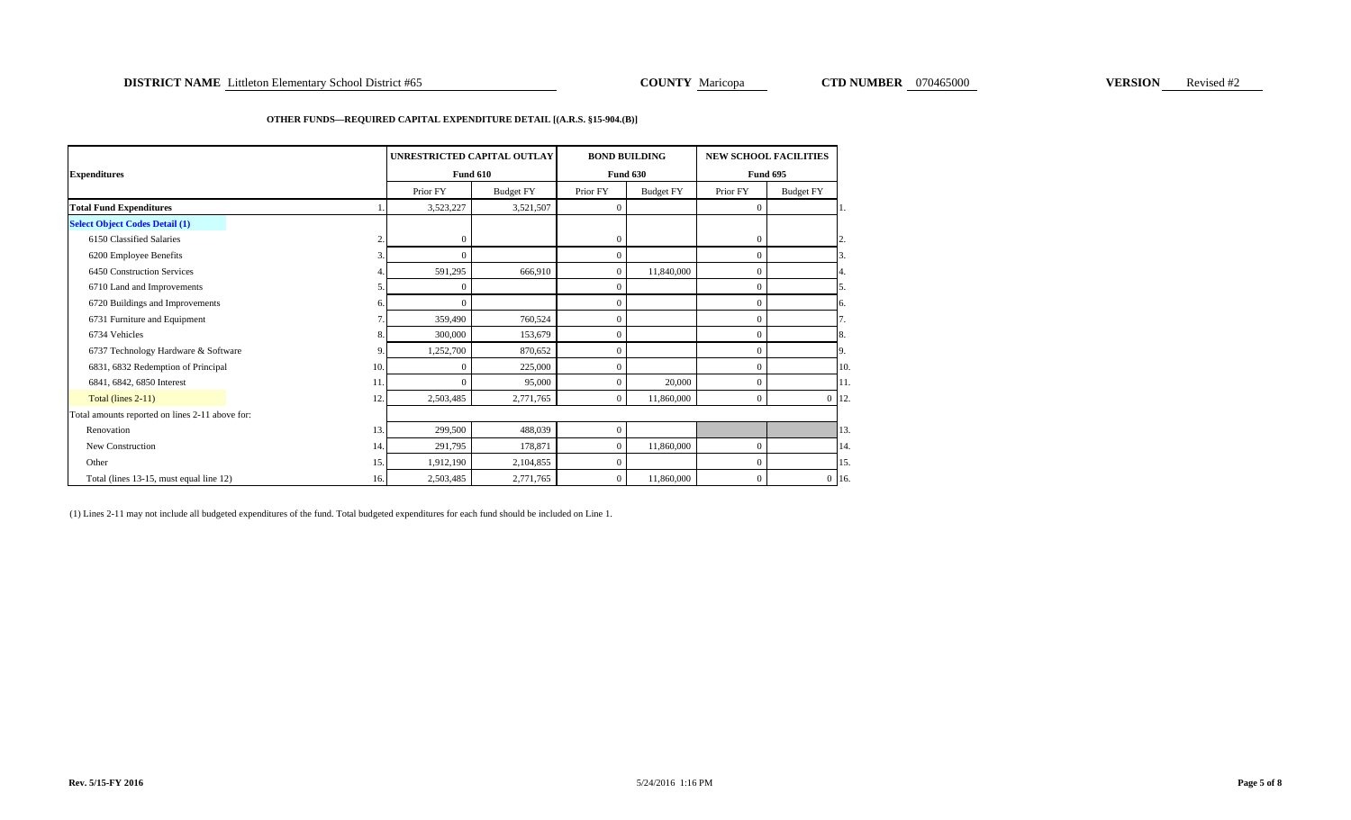### **DISTRICT NAME** Littleton Elementary School District #65 **COUNTY Maricopa COUNTY Maricopa CTD NUMBER** 070465000 **VERSION** Revised #2

### **OTHER FUNDS—REQUIRED CAPITAL EXPENDITURE DETAIL [(A.R.S. §15-904.(B)]**

|                                                 |                         | UNRESTRICTED CAPITAL OUTLAY |                  | <b>BOND BUILDING</b> |                  | <b>NEW SCHOOL FACILITIES</b> |                  |     |  |
|-------------------------------------------------|-------------------------|-----------------------------|------------------|----------------------|------------------|------------------------------|------------------|-----|--|
| <b>Expenditures</b>                             |                         |                             | <b>Fund 610</b>  |                      | <b>Fund 630</b>  | <b>Fund 695</b>              |                  |     |  |
|                                                 |                         | Prior FY                    | <b>Budget FY</b> | Prior FY             | <b>Budget FY</b> | Prior FY                     | <b>Budget FY</b> |     |  |
| <b>Total Fund Expenditures</b>                  |                         | 3,523,227                   | 3,521,507        | $\mathbf{0}$         |                  | $\theta$                     |                  |     |  |
| <b>Select Object Codes Detail (1)</b>           |                         |                             |                  |                      |                  |                              |                  |     |  |
| 6150 Classified Salaries                        | $\overline{\mathbf{c}}$ | $\mathbf{0}$                |                  | $\mathbf{0}$         |                  | $\theta$                     |                  | 12. |  |
| 6200 Employee Benefits                          | 3.                      | $\Omega$                    |                  | $\Omega$             |                  | $\overline{0}$               |                  | 3.  |  |
| 6450 Construction Services                      |                         | 591,295                     | 666,910          | $\mathbf{0}$         | 11,840,000       | $\theta$                     |                  | 4.  |  |
| 6710 Land and Improvements                      | 5                       | $\Omega$                    |                  | $\Omega$             |                  | $\Omega$                     |                  |     |  |
| 6720 Buildings and Improvements                 | 6.                      | $\Omega$                    |                  | $\mathbf{0}$         |                  | $\Omega$                     |                  | 6.  |  |
| 6731 Furniture and Equipment                    |                         | 359,490                     | 760,524          | $\Omega$             |                  | $\overline{0}$               |                  |     |  |
| 6734 Vehicles                                   | 8.                      | 300,000                     | 153,679          | $\mathbf{0}$         |                  | $\theta$                     |                  | 8.  |  |
| 6737 Technology Hardware & Software             | 9                       | 1,252,700                   | 870.652          | $\Omega$             |                  | $\overline{0}$               |                  | 9.  |  |
| 6831, 6832 Redemption of Principal              | 10.                     | $\Omega$                    | 225,000          | $\Omega$             |                  | $\Omega$                     |                  | 10  |  |
| 6841, 6842, 6850 Interest                       | 11.                     | $\Omega$                    | 95,000           | $\Omega$             | 20,000           | $\overline{0}$               |                  | 11  |  |
| Total (lines 2-11)                              | 12.                     | 2,503,485                   | 2,771,765        | $\overline{0}$       | 11,860,000       | $\mathbf{0}$                 | $0$ 12           |     |  |
| Total amounts reported on lines 2-11 above for: |                         |                             |                  |                      |                  |                              |                  |     |  |
| Renovation                                      | 13.                     | 299,500                     | 488,039          | $\Omega$             |                  |                              |                  | 13  |  |
| New Construction                                | 14.                     | 291,795                     | 178,871          | $\mathbf{0}$         | 11,860,000       | $\overline{0}$               |                  | 14  |  |
| Other                                           | 15.                     | 1,912,190                   | 2,104,855        | $\mathbf{0}$         |                  | $\overline{0}$               |                  | 15  |  |
| Total (lines 13-15, must equal line 12)         | 16.                     | 2,503,485                   | 2,771,765        | $\mathbf{0}$         | 11,860,000       | $\overline{0}$               | $0$ 16           |     |  |

(1) Lines 2-11 may not include all budgeted expenditures of the fund. Total budgeted expenditures for each fund should be included on Line 1.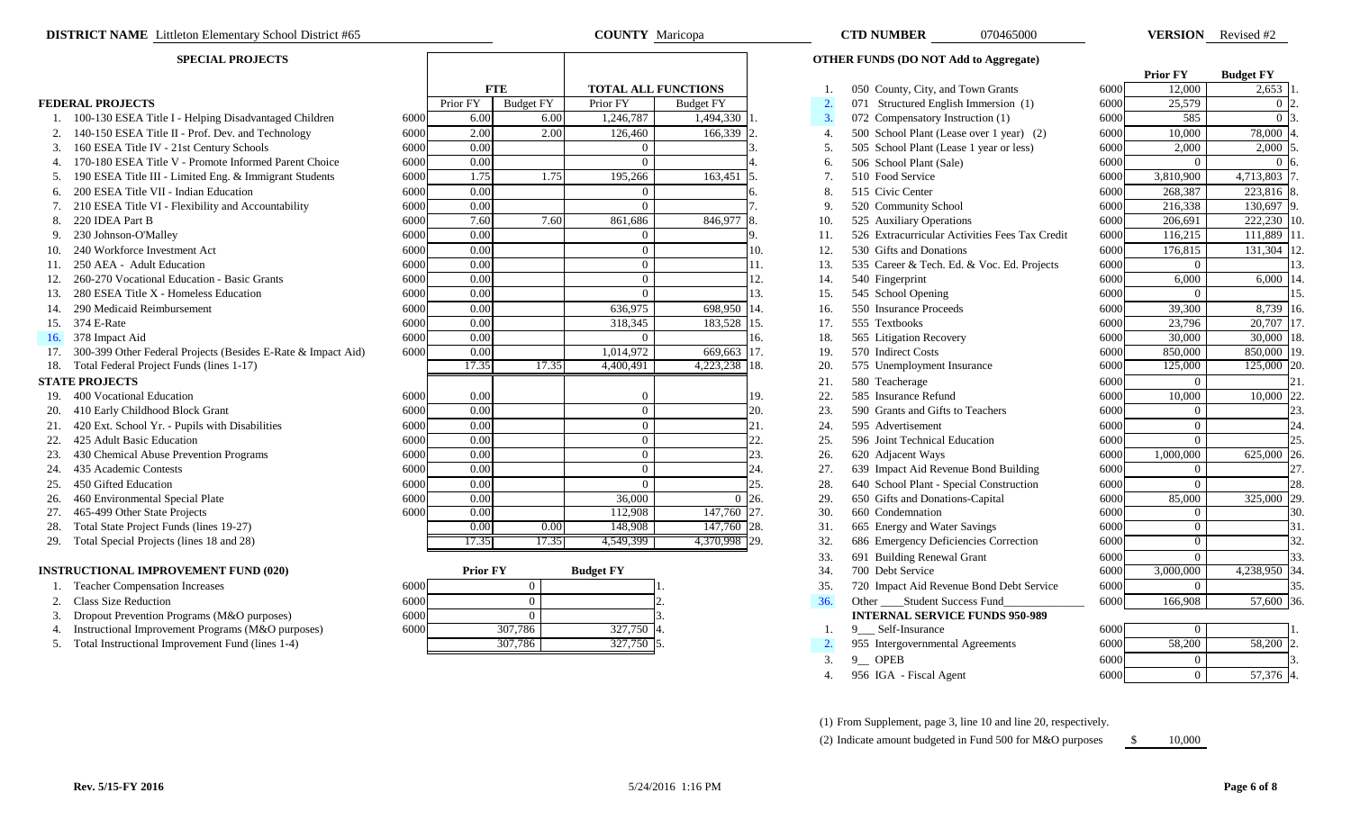### **SPECIAL PROJECTS**

|     |                                                              |      |                 |                  |                   |                            |            |                  |                                                | <b>Prior FY</b> | <b>Budget FY</b> |                |     |
|-----|--------------------------------------------------------------|------|-----------------|------------------|-------------------|----------------------------|------------|------------------|------------------------------------------------|-----------------|------------------|----------------|-----|
|     |                                                              |      |                 | <b>FTE</b>       |                   | <b>TOTAL ALL FUNCTIONS</b> |            |                  | 050 County, City, and Town Grants              | 6000            | 12,000           | $2,653$ 1      |     |
|     | <b>FEDERAL PROJECTS</b>                                      |      | Prior FY        | <b>Budget FY</b> | Prior FY          | <b>Budget FY</b>           |            | $\overline{2}$ . | 071 Structured English Immersion (1)           | 6000            | 25,579           | $0\,12$        |     |
|     | 1. 100-130 ESEA Title I - Helping Disadvantaged Children     | 6000 | 6.00            |                  | 6.00<br>1,246,787 | 1,494,330 1                |            | 3.               | 072 Compensatory Instruction (1)               | 6000            | 585              | $0\vert 3$     |     |
|     | 140-150 ESEA Title II - Prof. Dev. and Technology            | 6000 | 2.00            |                  | 2.00<br>126,460   | 166,339                    |            | 4.               | 500 School Plant (Lease over 1 year) (2)       | 6000            | 10.000           | 78,000         |     |
|     | 160 ESEA Title IV - 21st Century Schools                     | 6000 | 0.00            |                  |                   |                            |            | 5.               | 505 School Plant (Lease 1 year or less)        | 6000            | 2,000            | 2,000 5        |     |
|     | 4. 170-180 ESEA Title V - Promote Informed Parent Choice     | 6000 | 0.00            |                  |                   |                            |            | 6.               | 506 School Plant (Sale)                        | 6000            | $\Omega$         | 0 <sub>6</sub> |     |
| 5.  | 190 ESEA Title III - Limited Eng. & Immigrant Students       | 6000 | 1.75            |                  | 1.75<br>195,266   | 163,451                    |            | 7.               | 510 Food Service                               | 6000            | 3,810,900        | 4,713,803 7    |     |
|     | 6. 200 ESEA Title VII - Indian Education                     | 6000 | 0.00            |                  |                   |                            |            | 8                | 515 Civic Center                               | 6000            | 268,387          | 223,816        |     |
|     | 210 ESEA Title VI - Flexibility and Accountability           | 6000 | 0.00            |                  |                   |                            |            | 9                | 520 Community School                           | 6000            | 216,338          | 130,697        |     |
|     | 220 IDEA Part B                                              | 6000 | 7.60            |                  | 7.60<br>861,686   | 846,977                    |            | 10.              | 525 Auxiliary Operations                       | 6000            | 206,691          | 222,230 10     |     |
|     | 230 Johnson-O'Malley                                         | 6000 | 0.00            |                  |                   |                            |            | 11.              | 526 Extracurricular Activities Fees Tax Credit | 6000            | 116,215          | 111,889 11     |     |
|     | 240 Workforce Investment Act                                 | 6000 | 0.00            |                  |                   |                            | 10.        | 12.              | 530 Gifts and Donations                        | 6000            | 176,815          | $131,304$ 12   |     |
|     | 250 AEA - Adult Education                                    | 6000 | 0.00            |                  | $\Omega$          |                            | 11.        | 13.              | 535 Career & Tech. Ed. & Voc. Ed. Projects     | 6000            | $\Omega$         |                |     |
|     | 260-270 Vocational Education - Basic Grants                  | 6000 | 0.00            |                  | $\Omega$          |                            | 12.        | 14.              | 540 Fingerprint                                | 6000            | 6,000            | 6,000          |     |
|     | 280 ESEA Title X - Homeless Education                        | 6000 | 0.00            |                  |                   |                            | 13.        | 15.              | 545 School Opening                             | 6000            | $\theta$         |                |     |
| 14. | 290 Medicaid Reimbursement                                   | 6000 | 0.00            |                  | 636,975           | 698,950 14.                |            | 16.              | 550 Insurance Proceeds                         | 6000            | 39,300           | 8,739 16.      |     |
|     | 15. 374 E-Rate                                               | 6000 | 0.00            |                  | 318,345           | 183,528 15.                |            | 17.              | 555 Textbooks                                  | 6000            | 23,796           | 20,707 17      |     |
|     | 16. 378 Impact Aid                                           | 6000 | 0.00            |                  |                   |                            | 16.        | 18.              | 565 Litigation Recovery                        | 6000            | 30,000           | 30,000 18      |     |
|     | 300-399 Other Federal Projects (Besides E-Rate & Impact Aid) | 6000 | 0.00            |                  | 1,014,972         | 669,663 17.                |            | 19.              | 570 Indirect Costs                             | 6000            | 850,000          | 850,000        |     |
| 18. | Total Federal Project Funds (lines 1-17)                     |      | 17.35           | 17.35            | 4,400,491         | 4,223,238 18.              |            | 20.              | 575 Unemployment Insurance                     | 6000            | 125,000          | 125,000 20.    |     |
|     | <b>STATE PROJECTS</b>                                        |      |                 |                  |                   |                            |            | 21.              | 580 Teacherage                                 | 6000            | $\Omega$         |                |     |
|     | 19. 400 Vocational Education                                 | 6000 | 0.00            |                  |                   |                            | 19.        | 22.              | 585 Insurance Refund                           | 6000            | 10,000           | 10,000 22      |     |
|     | 20. 410 Early Childhood Block Grant                          | 6000 | 0.00            |                  |                   |                            | 20.        | 23.              | 590 Grants and Gifts to Teachers               | 6000            | $\overline{0}$   |                | 23. |
|     | 420 Ext. School Yr. - Pupils with Disabilities               | 6000 | 0.00            |                  | $\Omega$          |                            | 21.        | 24.              | 595 Advertisement                              | 6000            | $\overline{0}$   |                | 24. |
|     | 425 Adult Basic Education                                    | 6000 | 0.00            |                  | $\Omega$          |                            | 22.        | 25.              | 596 Joint Technical Education                  | 6000            | $\overline{0}$   |                | 25. |
|     | 430 Chemical Abuse Prevention Programs                       | 6000 | 0.00            |                  |                   |                            | 23.        | 26.              | 620 Adjacent Ways                              | 6000            | 1.000.000        | 625,000 26.    |     |
| 24. | 435 Academic Contests                                        | 6000 | 0.00            |                  |                   |                            | 24.        | 27.              | 639 Impact Aid Revenue Bond Building           | 6000            | $\overline{0}$   |                | 27. |
| 25. | 450 Gifted Education                                         | 6000 | 0.00            |                  |                   |                            | 25.        | 28.              | 640 School Plant - Special Construction        | 6000            | $\Omega$         |                | 28. |
| 26. | 460 Environmental Special Plate                              | 6000 | 0.00            |                  | 36,000            |                            | $0\,$  26. | 29.              | 650 Gifts and Donations-Capital                | 6000            | 85,000           | 325,000 29.    |     |
| 27. | 465-499 Other State Projects                                 | 6000 | 0.00            |                  | 112,908           | 147,760 27.                |            | 30.              | 660 Condemnation                               | 6000            | $\overline{0}$   |                | 30. |
| 28. | Total State Project Funds (lines 19-27)                      |      | 0.00            |                  | 0.00<br>148,908   | $147,760$ 28.              |            | 31.              | 665 Energy and Water Savings                   | 6000            | $\overline{0}$   |                | 31. |
|     | 29. Total Special Projects (lines 18 and 28)                 |      | 17.35           | 17.35            | 4,549,399         | 4,370,998 29.              |            | 32.              | 686 Emergency Deficiencies Correction          | 6000            | $\overline{0}$   |                | 32. |
|     |                                                              |      |                 |                  |                   |                            |            | 33.              | 691 Building Renewal Grant                     | 6000            | $\Omega$         |                | 33. |
|     | <b>INSTRUCTIONAL IMPROVEMENT FUND (020)</b>                  |      | <b>Prior FY</b> |                  | <b>Budget FY</b>  |                            |            | 34.              | 700 Debt Service                               | 6000            | 3,000,000        | 4,238,950 34   |     |
|     | <b>Teacher Compensation Increases</b>                        | 6000 |                 | $\theta$         |                   |                            |            | 35.              | 720 Impact Aid Revenue Bond Debt Service       | 6000            | $\theta$         |                | 35. |
|     | 2. Class Size Reduction                                      | 6000 |                 | $\theta$         |                   |                            |            | 36.              | Other _____Student Success Fund                | 6000            | 166,908          | 57,600 36.     |     |
|     | Dropout Prevention Programs (M&O purposes)                   | 6000 |                 | $\Omega$         |                   |                            |            |                  | <b>INTERNAL SERVICE FUNDS 950-989</b>          |                 |                  |                |     |
|     | 4. Instructional Improvement Programs (M&O purposes)         | 6000 |                 | 307,786          | $327,750$ 4       |                            |            |                  | 9 Self-Insurance                               | 6000            | $\bf{0}$         |                |     |

| -5. | Total Instructional Improvement Fund (lines 1-4) |  |
|-----|--------------------------------------------------|--|
|     |                                                  |  |

| Homeless Education                        | 6000 | 0.00            |          | $\Omega$         |               | 13.            | 15. | 545 School Opening                       | 6000 |           |           |
|-------------------------------------------|------|-----------------|----------|------------------|---------------|----------------|-----|------------------------------------------|------|-----------|-----------|
| ursement                                  | 6000 | 0.00            |          | 636,975          | 698,950       | 114.           | 16. | 550 Insurance Proceeds                   | 6000 | 39,300    | 8,739     |
|                                           | 6000 | 0.00            |          | 318,345          | 183,528 15.   |                |     | 555 Textbooks                            | 6000 | 23,796    | 20,707    |
|                                           | 6000 | 0.00            |          |                  |               | 16.            | 18. | 565 Litigation Recovery                  | 6000 | 30,000    | 30,000    |
| al Projects (Besides E-Rate & Impact Aid) | 6000 | 0.00            |          | 1,014,972        | 669,663       |                | 19. | 570 Indirect Costs                       | 6000 | 850,000   | 850,000   |
| Funds (lines 1-17)                        |      | 17.35           | 17.35    | 4,400,491        | 4,223,238 18. |                | 20. | 575 Unemployment Insurance               | 6000 | 125,000   | 125,000   |
|                                           |      |                 |          |                  |               |                | 21. | 580 Teacherage                           | 6000 |           |           |
| ation                                     | 6000 | 0.00            |          |                  |               | 19.            | 22. | 585 Insurance Refund                     | 6000 | 10,000    | 10,000    |
| <b>Block Grant</b>                        | 6000 | 0.00            |          | $\Omega$         |               |                | 23. | 590 Grants and Gifts to Teachers         | 6000 | $\Omega$  |           |
| Pupils with Disabilities                  | 6000 | 0.00            |          |                  |               |                | 24. | 595 Advertisement                        | 6000 |           |           |
| cation                                    | 6000 | 0.00            |          |                  |               |                | 25. | 596 Joint Technical Education            | 6000 |           |           |
| <b>Prevention Programs</b>                | 6000 | 0.00            |          | 0                |               |                | 26. | 620 Adjacent Ways                        | 6000 | 1,000,000 | 625,000   |
| sts                                       | 6000 | 0.00            |          | 0                |               |                | 27. | 639 Impact Aid Revenue Bond Building     | 6000 |           |           |
|                                           | 6000 | 0.00            |          |                  |               |                | 28. | 640 School Plant - Special Construction  | 6000 |           |           |
| pecial Plate                              | 6000 | 0.00            |          | 36,000           | $\Omega$      | <sup>26.</sup> | 29. | 650 Gifts and Donations-Capital          | 6000 | 85,000    | 325,000   |
| Projects                                  | 6000 | 0.00            |          | 112,908          | 147,760 27.   |                | 30. | 660 Condemnation                         | 6000 |           |           |
| unds (lines 19-27)                        |      | 0.00            | 0.00     | 148,908          | 147,760 28.   |                | 31. | 665 Energy and Water Savings             | 6000 |           |           |
| $s$ (lines 18 and 28)                     |      | 17.35           | 17.35    | 4,549,399        | 4,370,998 29. |                | 32. | 686 Emergency Deficiencies Correction    | 6000 |           |           |
|                                           |      |                 |          |                  |               |                | 33. | 691 Building Renewal Grant               | 6000 |           |           |
| <b>OVEMENT FUND (020)</b>                 |      | <b>Prior FY</b> |          | <b>Budget FY</b> |               |                | 34. | 700 Debt Service                         | 6000 | 3,000,000 | 4,238,950 |
| on Increases                              | 6000 |                 |          |                  |               |                | 35. | 720 Impact Aid Revenue Bond Debt Service | 6000 | $\Omega$  |           |
|                                           | 6000 |                 |          |                  |               |                | 36. | Other _______Student Success Fund        | 6000 | 166,908   | 57,600    |
| Programs (M&O purposes)                   | 6000 |                 | $\Omega$ |                  |               |                |     | <b>INTERNAL SERVICE FUNDS 950-989</b>    |      |           |           |
| ement Programs (M&O purposes)             | 6000 | 307,786         |          | $327,750$ 4.     |               |                |     | 9 __ Self-Insurance                      | 6000 |           |           |
| nprovement Fund (lines 1-4)               |      | 307,786         |          | 327,750 5        |               |                |     | 955 Intergovernmental Agreements         | 6000 | 58,200    | 58,200    |
|                                           |      |                 |          |                  |               |                | 3.  | $9$ OPEB                                 | 6000 |           |           |
|                                           |      |                 |          |                  |               |                |     |                                          |      |           |           |

| <b>DISTRICT NAME</b> Littleton Elementary School District #65    |      |                 |                  | <b>COUNTY</b> Maricopa     |                  |     | <b>CTD NUMBER</b><br>070465000                 |      |                 | <b>VERSION</b> Revised #2 |
|------------------------------------------------------------------|------|-----------------|------------------|----------------------------|------------------|-----|------------------------------------------------|------|-----------------|---------------------------|
| <b>SPECIAL PROJECTS</b>                                          |      |                 |                  |                            |                  |     | <b>OTHER FUNDS (DO NOT Add to Aggregate)</b>   |      |                 |                           |
|                                                                  |      |                 |                  |                            |                  |     |                                                |      | <b>Prior FY</b> | <b>Budget FY</b>          |
|                                                                  |      | <b>FTE</b>      |                  | <b>TOTAL ALL FUNCTIONS</b> |                  |     | 050 County, City, and Town Grants              | 6000 | 12,000          | 2,653                     |
| <b>EDERAL PROJECTS</b>                                           |      | Prior FY        | <b>Budget FY</b> | Prior FY                   | <b>Budget FY</b> | 2.  | 071 Structured English Immersion (1)           | 6000 | 25,579          | 0 <sub>12</sub>           |
| 1. 100-130 ESEA Title I - Helping Disadvantaged Children         | 6000 | 6.00            | 6.00             | 1,246,787                  | 1,494,330        | 3.  | 072 Compensatory Instruction (1)               | 6000 | 585             | $\Omega$                  |
| 2. 140-150 ESEA Title II - Prof. Dev. and Technology             | 6000 | 2.00            | 2.00             | 126,460                    | 166,339          | 4.  | 500 School Plant (Lease over 1 year) (2)       | 6000 | 10,000          | 78,000                    |
| 3. 160 ESEA Title IV - 21st Century Schools                      | 6000 | 0.00            |                  | $\overline{0}$             |                  | 5.  | 505 School Plant (Lease 1 year or less)        | 6000 | 2,000           | 2,000                     |
| 4. 170-180 ESEA Title V - Promote Informed Parent Choice         | 6000 | 0.00            |                  | $\Omega$                   |                  | 6.  | 506 School Plant (Sale)                        | 6000 | $\Omega$        |                           |
| 5. 190 ESEA Title III - Limited Eng. & Immigrant Students        | 6000 | 1.75            | 1.75             | 195,266                    | 163,451          |     | 510 Food Service                               | 6000 | 3,810,900       | 4,713,803                 |
| 6. 200 ESEA Title VII - Indian Education                         | 6000 | 0.00            |                  | $\overline{0}$             |                  | 8.  | 515 Civic Center                               | 6000 | 268,387         | 223,816                   |
| 210 ESEA Title VI - Flexibility and Accountability               | 6000 | 0.00            |                  | $\overline{0}$             |                  |     | 520 Community School                           | 6000 | 216,338         | 130,697                   |
| 8. 220 IDEA Part B                                               | 6000 | 7.60            | 7.60             | 861,686                    | 846,977          | 10. | 525 Auxiliary Operations                       | 6000 | 206,691         | 222,230                   |
| 230 Johnson-O'Malley                                             | 6000 | 0.00            |                  | $\overline{0}$             |                  | 11. | 526 Extracurricular Activities Fees Tax Credit | 6000 | 116,215         | 111,889                   |
| 240 Workforce Investment Act                                     | 6000 | 0.00            |                  | $\overline{0}$             | 10.              | 12. | 530 Gifts and Donations                        | 6000 | 176,815         | 131,304                   |
| 250 AEA - Adult Education                                        | 6000 | 0.00            |                  | $\overline{0}$             | 11.              | 13. | 535 Career & Tech. Ed. & Voc. Ed. Projects     | 6000 | $\Omega$        |                           |
| 260-270 Vocational Education - Basic Grants                      | 6000 | 0.00            |                  | $\overline{0}$             | 12.              | 14. | 540 Fingerprint                                | 6000 | 6,000           | 6,000 14                  |
| 280 ESEA Title X - Homeless Education<br>13.                     | 6000 | 0.00            |                  | $\overline{0}$             | 13.              | 15. | 545 School Opening                             | 6000 | $\Omega$        |                           |
| 290 Medicaid Reimbursement<br>14.                                | 6000 | 0.00            |                  | 636,975                    | 698,950<br>14.   | 16. | 550 Insurance Proceeds                         | 6000 | 39,300          | 8,739                     |
| 15. 374 E-Rate                                                   | 6000 | 0.00            |                  | 318,345                    | 183,528<br>15.   | 17. | 555 Textbooks                                  | 6000 | 23,796          | 20,707                    |
| 378 Impact Aid<br>16.                                            | 6000 | 0.00            |                  | $\overline{0}$             | 16.              | 18. | 565 Litigation Recovery                        | 6000 | 30,000          | 30,000                    |
| 17. 300-399 Other Federal Projects (Besides E-Rate & Impact Aid) | 6000 | 0.00            |                  | 1,014,972                  | 669,663<br>17.   | 19. | 570 Indirect Costs                             | 6000 | 850,000         | 850,000                   |
| 18. Total Federal Project Funds (lines 1-17)                     |      | 17.35           | 17.35            | 4,400,491                  | 4,223,238 18.    | 20. | 575 Unemployment Insurance                     | 6000 | 125,000         | 125,000                   |
| <b>TATE PROJECTS</b>                                             |      |                 |                  |                            |                  | 21. | 580 Teacherage                                 | 6000 | $\overline{0}$  |                           |
| 19. 400 Vocational Education                                     | 6000 | 0.00            |                  | $\Omega$                   | 19.              | 22. | 585 Insurance Refund                           | 6000 | 10,000          | 10,000                    |
| 20. 410 Early Childhood Block Grant                              | 6000 | 0.00            |                  | $\overline{0}$             | 20.              | 23. | 590 Grants and Gifts to Teachers               | 6000 | $\overline{0}$  | 23.                       |
| 21. 420 Ext. School Yr. - Pupils with Disabilities               | 6000 | 0.00            |                  | $\overline{0}$             | 21.              | 24. | 595 Advertisement                              | 6000 | $\overline{0}$  |                           |
| 22. 425 Adult Basic Education                                    | 6000 | 0.00            |                  | $\overline{0}$             | າາ               | 25. | 596 Joint Technical Education                  | 6000 | $\theta$        |                           |
| 23. 430 Chemical Abuse Prevention Programs                       | 6000 | 0.00            |                  | $\overline{0}$             | 23.              | 26. | 620 Adjacent Ways                              | 6000 | 1,000,000       | 625,000 26.               |
| 24. 435 Academic Contests                                        | 6000 | 0.00            |                  | $\overline{0}$             | 24.              | 27. | 639 Impact Aid Revenue Bond Building           | 6000 | $\overline{0}$  | 27                        |
| 25. 450 Gifted Education                                         | 6000 | 0.00            |                  | $\theta$                   | 25               | 28. | 640 School Plant - Special Construction        | 6000 | $\Omega$        | 28.                       |
| 26. 460 Environmental Special Plate                              | 6000 | 0.00            |                  | 36,000                     | $\Omega$<br>26.  | 29. | 650 Gifts and Donations-Capital                | 6000 | 85,000          | 325,000 29.               |
| 27. 465-499 Other State Projects                                 | 6000 | 0.00            |                  | 112,908                    | $147,760$ 27.    | 30. | 660 Condemnation                               | 6000 | $\overline{0}$  | 30.                       |
| Total State Project Funds (lines 19-27)<br>28.                   |      | 0.00            | 0.00             | 148,908                    | 147,760 28.      | 31. | 665 Energy and Water Savings                   | 6000 | $\overline{0}$  | 31.                       |
| 29. Total Special Projects (lines 18 and 28)                     |      | 17.35           | 17.35            | 4,549,399                  | 4,370,998 29.    | 32. | 686 Emergency Deficiencies Correction          | 6000 | $\overline{0}$  | 32.                       |
|                                                                  |      |                 |                  |                            |                  | 33. | 691 Building Renewal Grant                     | 6000 | $\overline{0}$  | 33.                       |
| <b>NSTRUCTIONAL IMPROVEMENT FUND (020)</b>                       |      | <b>Prior FY</b> |                  | <b>Budget FY</b>           |                  | 34. | 700 Debt Service                               | 6000 | 3,000,000       | 4.238.950 34              |

- 34. 700 Debt Service 6000 3,000,000 4,238,950 34.
- 
- 36. Other \_\_\_\_\_Student Success Fund\_\_\_\_\_\_\_\_\_\_\_\_\_\_\_\_\_ 6000 166,908 57,600 36.

- 
- 3. 9 OPEB 6000 0
- 4. 956 IGA Fiscal Agent 6000 6000 6000 57,376

(1) From Supplement, page 3, line 10 and line 20, respectively.

(2) Indicate amount budgeted in Fund 500 for M&O purposes \$10,000

**Rev. 5/15-FY 2016**

# Revised #2

# **COUNTY** Maricopa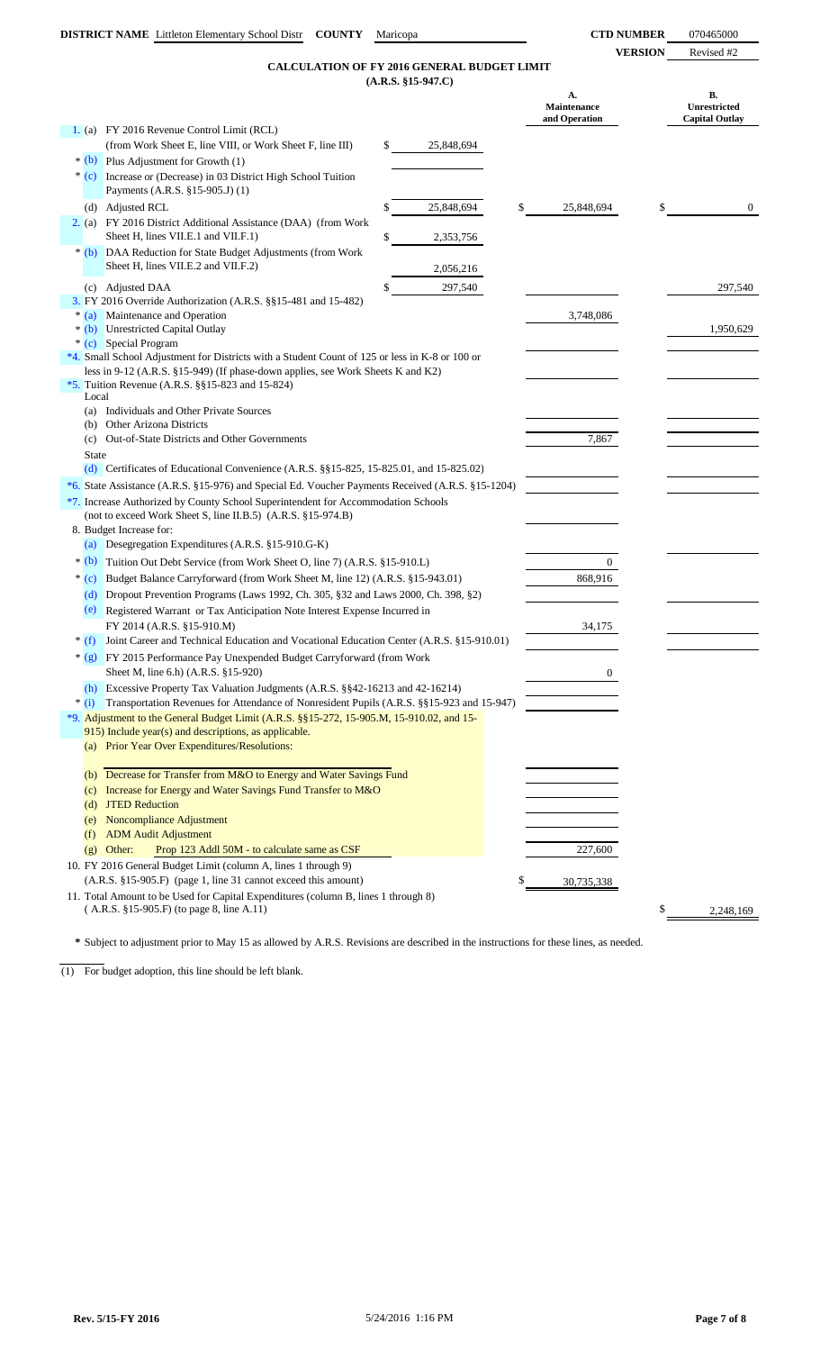**VERSION** Revised #2

## **(A.R.S. §15-947.C) CALCULATION OF FY 2016 GENERAL BUDGET LIMIT**

|              |                                                                                                                                                    |    | $(A.R.S. §15-947.C)$ |                                    |                                             |
|--------------|----------------------------------------------------------------------------------------------------------------------------------------------------|----|----------------------|------------------------------------|---------------------------------------------|
|              |                                                                                                                                                    |    |                      | A.<br>Maintenance<br>and Operation | В.<br>Unrestricted<br><b>Capital Outlay</b> |
|              | 1. (a) FY 2016 Revenue Control Limit (RCL)                                                                                                         |    |                      |                                    |                                             |
|              | (from Work Sheet E, line VIII, or Work Sheet F, line III)                                                                                          | \$ | 25,848,694           |                                    |                                             |
|              | $*(b)$ Plus Adjustment for Growth (1)                                                                                                              |    |                      |                                    |                                             |
| $*(c)$       | Increase or (Decrease) in 03 District High School Tuition<br>Payments (A.R.S. §15-905.J) (1)                                                       |    |                      |                                    |                                             |
|              | (d) Adjusted RCL                                                                                                                                   | S  | 25,848,694           | \$<br>25,848,694                   | \$<br>$\overline{0}$                        |
|              | 2. (a) FY 2016 District Additional Assistance (DAA) (from Work                                                                                     |    |                      |                                    |                                             |
|              | Sheet H, lines VII.E.1 and VII.F.1)                                                                                                                | \$ | 2,353,756            |                                    |                                             |
|              | * (b) DAA Reduction for State Budget Adjustments (from Work<br>Sheet H, lines VII.E.2 and VII.F.2)                                                 |    | 2,056,216            |                                    |                                             |
|              | (c) Adjusted DAA                                                                                                                                   | \$ | 297,540              |                                    | 297,540                                     |
|              | 3. FY 2016 Override Authorization (A.R.S. §§15-481 and 15-482)                                                                                     |    |                      |                                    |                                             |
| $*(a)$       | Maintenance and Operation                                                                                                                          |    |                      | 3,748,086                          |                                             |
|              | * (b) Unrestricted Capital Outlay<br>* (c) Special Program                                                                                         |    |                      |                                    | 1,950,629                                   |
|              | *4. Small School Adjustment for Districts with a Student Count of 125 or less in K-8 or 100 or                                                     |    |                      |                                    |                                             |
|              | less in 9-12 (A.R.S. §15-949) (If phase-down applies, see Work Sheets K and K2)                                                                    |    |                      |                                    |                                             |
|              | *5. Tuition Revenue (A.R.S. $\S$ §15-823 and 15-824)                                                                                               |    |                      |                                    |                                             |
| Local        |                                                                                                                                                    |    |                      |                                    |                                             |
| (b)          | (a) Individuals and Other Private Sources<br>Other Arizona Districts                                                                               |    |                      |                                    |                                             |
|              | (c) Out-of-State Districts and Other Governments                                                                                                   |    |                      | 7,867                              |                                             |
| <b>State</b> |                                                                                                                                                    |    |                      |                                    |                                             |
|              | (d) Certificates of Educational Convenience (A.R.S. $\S$ 15-825, 15-825.01, and 15-825.02)                                                         |    |                      |                                    |                                             |
|              | *6. State Assistance (A.R.S. §15-976) and Special Ed. Voucher Payments Received (A.R.S. §15-1204)                                                  |    |                      |                                    |                                             |
|              | *7. Increase Authorized by County School Superintendent for Accommodation Schools                                                                  |    |                      |                                    |                                             |
|              | (not to exceed Work Sheet S, line II.B.5) (A.R.S. §15-974.B)                                                                                       |    |                      |                                    |                                             |
|              | 8. Budget Increase for:                                                                                                                            |    |                      |                                    |                                             |
| (a)          | Desegregation Expenditures (A.R.S. §15-910.G-K)                                                                                                    |    |                      |                                    |                                             |
| $*(b)$       | Tuition Out Debt Service (from Work Sheet O, line 7) (A.R.S. §15-910.L)                                                                            |    |                      | 0                                  |                                             |
| $*(c)$       | Budget Balance Carryforward (from Work Sheet M, line 12) (A.R.S. §15-943.01)                                                                       |    |                      | 868,916                            |                                             |
| (d)          | Dropout Prevention Programs (Laws 1992, Ch. 305, §32 and Laws 2000, Ch. 398, §2)                                                                   |    |                      |                                    |                                             |
| (e)          | Registered Warrant or Tax Anticipation Note Interest Expense Incurred in                                                                           |    |                      |                                    |                                             |
|              | FY 2014 (A.R.S. §15-910.M)                                                                                                                         |    |                      | 34,175                             |                                             |
| $*(f)$       | Joint Career and Technical Education and Vocational Education Center (A.R.S. §15-910.01)                                                           |    |                      |                                    |                                             |
| $*(g)$       | FY 2015 Performance Pay Unexpended Budget Carryforward (from Work<br>Sheet M, line 6.h) (A.R.S. §15-920)                                           |    |                      | $\overline{0}$                     |                                             |
|              | (h) Excessive Property Tax Valuation Judgments (A.R.S. §§42-16213 and 42-16214)                                                                    |    |                      |                                    |                                             |
| $*(i)$       | Transportation Revenues for Attendance of Nonresident Pupils (A.R.S. §§15-923 and 15-947)                                                          |    |                      |                                    |                                             |
|              | *9. Adjustment to the General Budget Limit (A.R.S. §§15-272, 15-905.M, 15-910.02, and 15-<br>915) Include year(s) and descriptions, as applicable. |    |                      |                                    |                                             |
|              | (a) Prior Year Over Expenditures/Resolutions:                                                                                                      |    |                      |                                    |                                             |
|              |                                                                                                                                                    |    |                      |                                    |                                             |
|              | (b) Decrease for Transfer from M&O to Energy and Water Savings Fund                                                                                |    |                      |                                    |                                             |
| (c)          | Increase for Energy and Water Savings Fund Transfer to M&O                                                                                         |    |                      |                                    |                                             |
| (d)          | <b>JTED Reduction</b>                                                                                                                              |    |                      |                                    |                                             |
| (e)          | Noncompliance Adjustment                                                                                                                           |    |                      |                                    |                                             |
| (f)          | <b>ADM</b> Audit Adjustment                                                                                                                        |    |                      |                                    |                                             |
| (g)          | Other:<br>Prop 123 Addl 50M - to calculate same as CSF                                                                                             |    |                      | 227,600                            |                                             |
|              | 10. FY 2016 General Budget Limit (column A, lines 1 through 9)                                                                                     |    |                      |                                    |                                             |
|              | (A.R.S. §15-905.F) (page 1, line 31 cannot exceed this amount)                                                                                     |    |                      | 30,735,338                         |                                             |
|              | 11. Total Amount to be Used for Capital Expenditures (column B, lines 1 through 8)<br>(A.R.S. §15-905.F) (to page 8, line A.11)                    |    |                      |                                    | \$<br>2,248,169                             |

**\*** Subject to adjustment prior to May 15 as allowed by A.R.S. Revisions are described in the instructions for these lines, as needed.

(1) For budget adoption, this line should be left blank.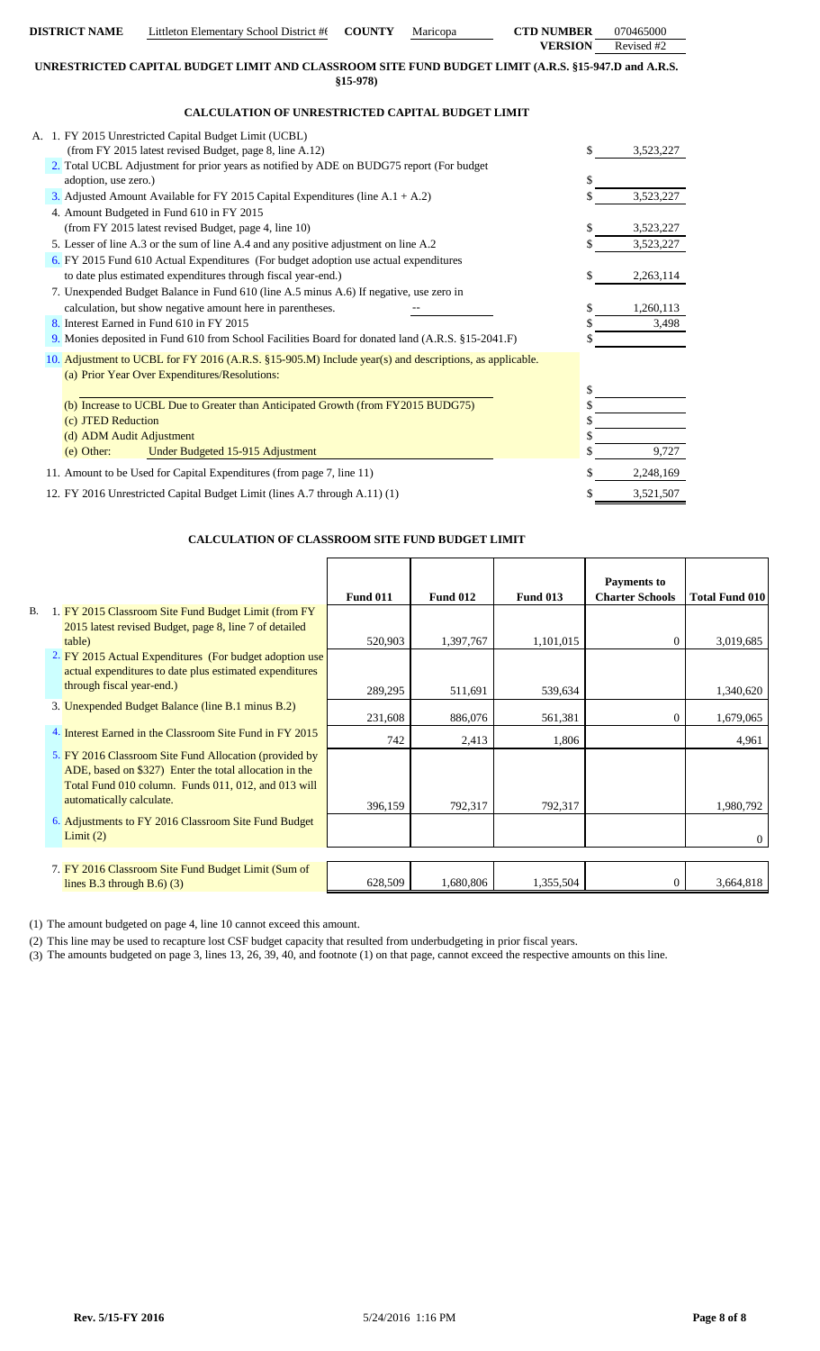| <b>DISTRICT NAME</b>     | Littleton Elementary School District #t                                                                                     | <b>COUNTY</b> | Maricopa | <b>CTD NUMBER</b> | 070465000          |
|--------------------------|-----------------------------------------------------------------------------------------------------------------------------|---------------|----------|-------------------|--------------------|
|                          |                                                                                                                             |               |          | <b>VERSION</b>    | Revised #2         |
|                          | UNRESTRICTED CAPITAL BUDGET LIMIT AND CLASSROOM SITE FUND BUDGET LIMIT (A.R.S. §15-947.D and A.R.S.                         | $$15-978$     |          |                   |                    |
|                          |                                                                                                                             |               |          |                   |                    |
|                          | <b>CALCULATION OF UNRESTRICTED CAPITAL BUDGET LIMIT</b>                                                                     |               |          |                   |                    |
|                          | A. 1. FY 2015 Unrestricted Capital Budget Limit (UCBL)                                                                      |               |          |                   |                    |
|                          | (from FY 2015 latest revised Budget, page 8, line A.12)                                                                     |               |          | \$                | 3,523,227          |
|                          | 2. Total UCBL Adjustment for prior years as notified by ADE on BUDG75 report (For budget                                    |               |          |                   |                    |
| adoption, use zero.)     |                                                                                                                             |               |          | \$                |                    |
|                          | 3. Adjusted Amount Available for FY 2015 Capital Expenditures (line A.1 + A.2)<br>4. Amount Budgeted in Fund 610 in FY 2015 |               |          |                   | 3,523,227          |
|                          | (from FY 2015 latest revised Budget, page 4, line 10)                                                                       |               |          | \$                | 3,523,227          |
|                          | 5. Lesser of line A.3 or the sum of line A.4 and any positive adjustment on line A.2                                        |               |          | \$                | 3,523,227          |
|                          | 6. FY 2015 Fund 610 Actual Expenditures (For budget adoption use actual expenditures                                        |               |          |                   |                    |
|                          | to date plus estimated expenditures through fiscal year-end.)                                                               |               |          | \$                | 2,263,114          |
|                          | 7. Unexpended Budget Balance in Fund 610 (line A.5 minus A.6) If negative, use zero in                                      |               |          |                   |                    |
|                          | calculation, but show negative amount here in parentheses.                                                                  |               |          | \$                | 1,260,113          |
|                          | 8. Interest Earned in Fund 610 in FY 2015                                                                                   |               |          | \$                | 3,498              |
|                          | 9. Monies deposited in Fund 610 from School Facilities Board for donated land (A.R.S. §15-2041.F)                           |               |          | \$                |                    |
|                          | 10. Adjustment to UCBL for FY 2016 (A.R.S. §15-905.M) Include year(s) and descriptions, as applicable.                      |               |          |                   |                    |
|                          | (a) Prior Year Over Expenditures/Resolutions:                                                                               |               |          | \$                |                    |
|                          | (b) Increase to UCBL Due to Greater than Anticipated Growth (from FY2015 BUDG75)                                            |               |          |                   |                    |
| (c) JTED Reduction       |                                                                                                                             |               |          | \$                |                    |
| (d) ADM Audit Adjustment |                                                                                                                             |               |          |                   |                    |
| (e) Other:               | Under Budgeted 15-915 Adjustment                                                                                            |               |          |                   | 9,727              |
|                          | 11. Amount to be Used for Capital Expenditures (from page 7, line 11)                                                       |               |          |                   | 2,248,169          |
|                          | 12. FY 2016 Unrestricted Capital Budget Limit (lines A.7 through A.11) (1)                                                  |               |          | \$                | 3,521,507          |
|                          |                                                                                                                             |               |          |                   |                    |
|                          |                                                                                                                             |               |          |                   |                    |
|                          | <b>CALCULATION OF CLASSROOM SITE FUND BUDGET LIMIT</b>                                                                      |               |          |                   |                    |
|                          |                                                                                                                             |               |          |                   |                    |
|                          |                                                                                                                             |               |          |                   | <b>Payments to</b> |

|    |                                                          |                 |                 |                 | <b>Payments to</b>     |                       |
|----|----------------------------------------------------------|-----------------|-----------------|-----------------|------------------------|-----------------------|
|    |                                                          | <b>Fund 011</b> | <b>Fund 012</b> | <b>Fund 013</b> | <b>Charter Schools</b> | <b>Total Fund 010</b> |
| В. | 1. FY 2015 Classroom Site Fund Budget Limit (from FY     |                 |                 |                 |                        |                       |
|    | 2015 latest revised Budget, page 8, line 7 of detailed   |                 |                 |                 |                        |                       |
|    | table)                                                   | 520,903         | 1,397,767       | 1,101,015       | $\Omega$               | 3,019,685             |
|    | 2. FY 2015 Actual Expenditures (For budget adoption use  |                 |                 |                 |                        |                       |
|    | actual expenditures to date plus estimated expenditures  |                 |                 |                 |                        |                       |
|    | through fiscal year-end.)                                | 289,295         | 511,691         | 539,634         |                        | 1,340,620             |
|    | 3. Unexpended Budget Balance (line B.1 minus B.2)        | 231,608         | 886,076         | 561,381         | 0                      | 1,679,065             |
|    | 4. Interest Earned in the Classroom Site Fund in FY 2015 | 742             | 2,413           | 1,806           |                        | 4,961                 |
|    | 5. FY 2016 Classroom Site Fund Allocation (provided by   |                 |                 |                 |                        |                       |
|    | ADE, based on \$327) Enter the total allocation in the   |                 |                 |                 |                        |                       |
|    | Total Fund 010 column. Funds 011, 012, and 013 will      |                 |                 |                 |                        |                       |
|    | automatically calculate.                                 | 396,159         | 792,317         | 792,317         |                        | 1,980,792             |
|    | 6. Adjustments to FY 2016 Classroom Site Fund Budget     |                 |                 |                 |                        |                       |
|    | Limit(2)                                                 |                 |                 |                 |                        | $\theta$              |
|    |                                                          |                 |                 |                 |                        |                       |
|    | 7. FY 2016 Classroom Site Fund Budget Limit (Sum of      |                 |                 |                 |                        |                       |
|    | lines B.3 through B.6 $(3)$                              | 628,509         | 1,680,806       | 1,355,504       |                        | 3,664,818             |

(1) The amount budgeted on page 4, line 10 cannot exceed this amount.

(2) This line may be used to recapture lost CSF budget capacity that resulted from underbudgeting in prior fiscal years.

(3) The amounts budgeted on page 3, lines 13, 26, 39, 40, and footnote (1) on that page, cannot exceed the respective amounts on this line.

 $\mathbf l$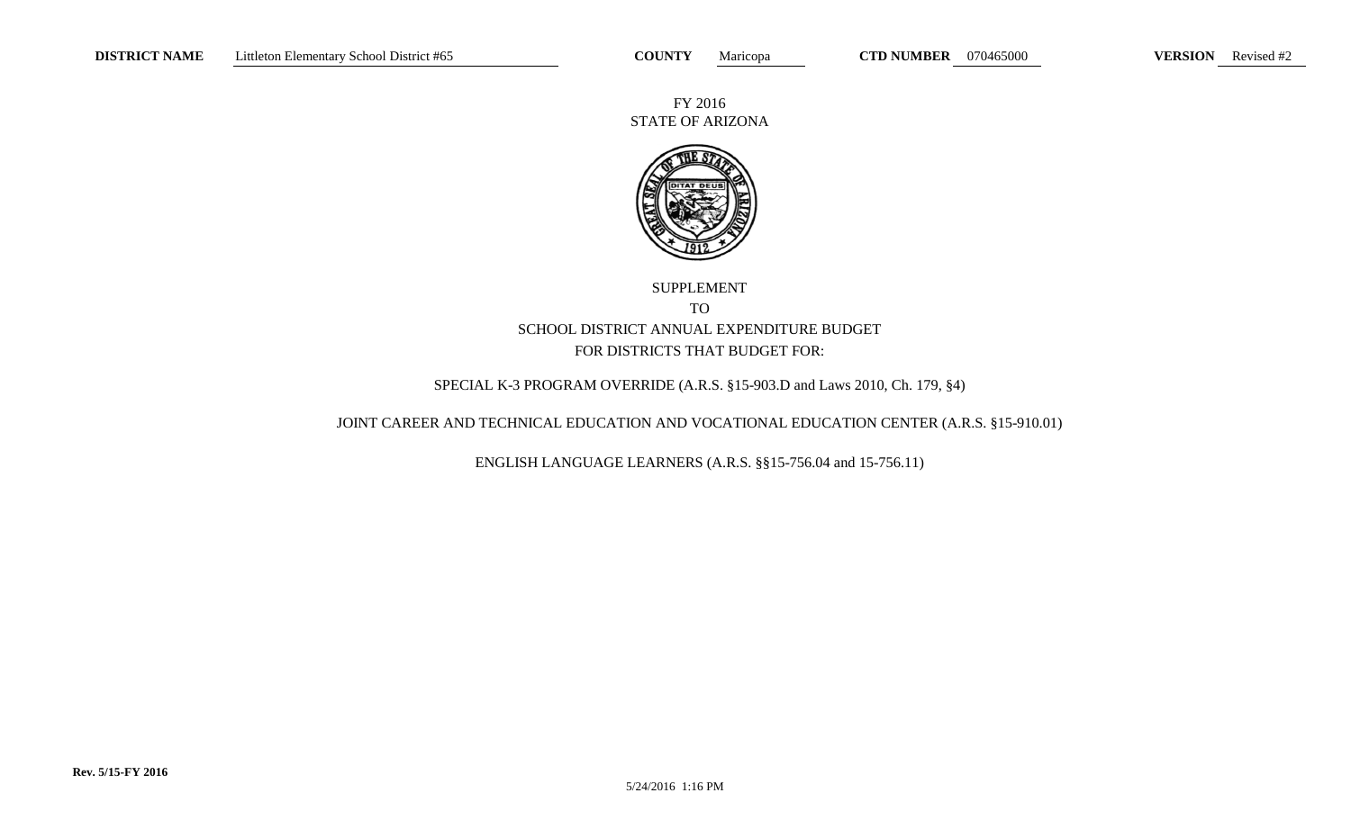FY 2016 STATE OF ARIZONA



# SUPPLEMENT TO SCHOOL DISTRICT ANNUAL EXPENDITURE BUDGETFOR DISTRICTS THAT BUDGET FOR:

# SPECIAL K-3 PROGRAM OVERRIDE (A.R.S. §15-903.D and Laws 2010, Ch. 179, §4)

## JOINT CAREER AND TECHNICAL EDUCATION AND VOCATIONAL EDUCATION CENTER (A.R.S. §15-910.01)

ENGLISH LANGUAGE LEARNERS (A.R.S. §§15-756.04 and 15-756.11)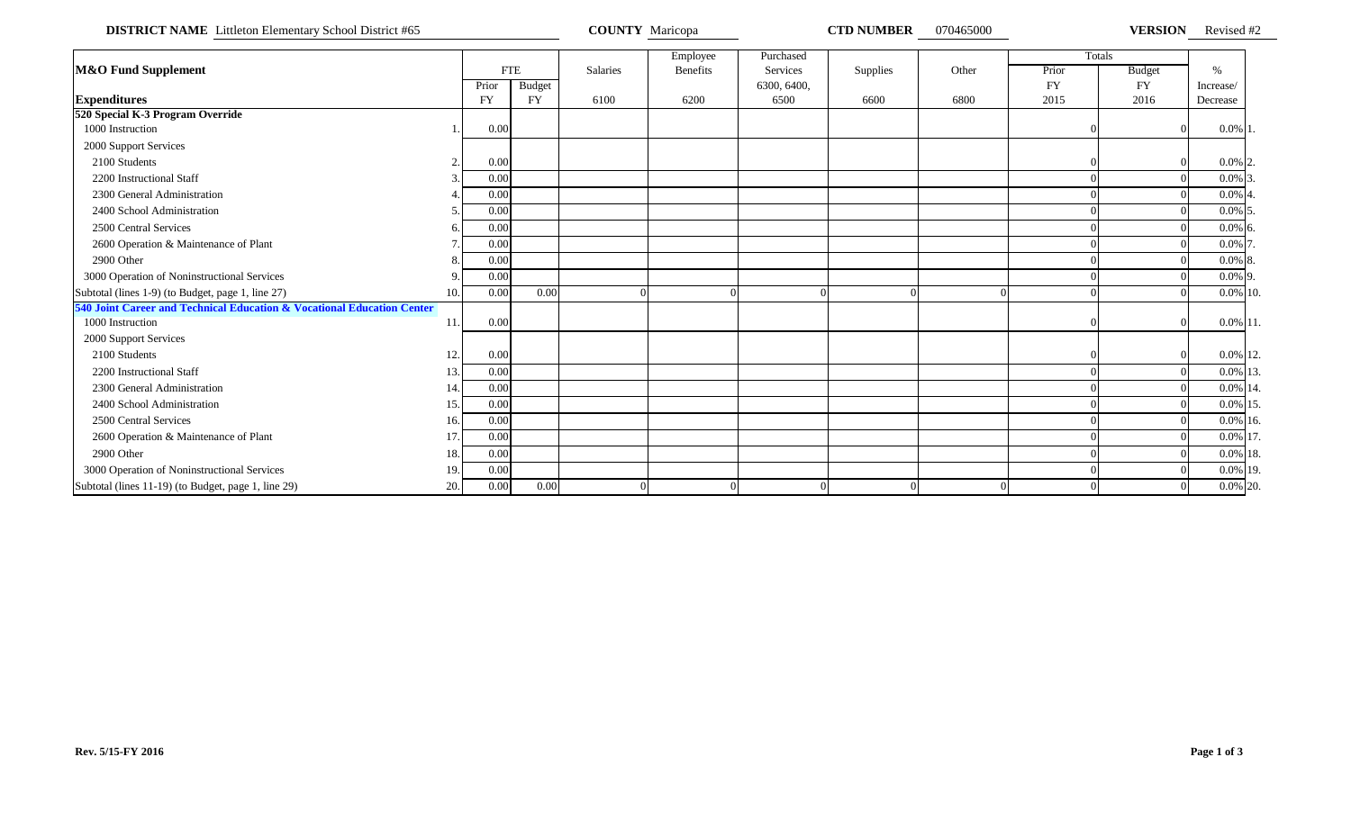**DISTRICT NAME** Littleton Elementary School District #65 **COUNTY Maricopa COUNTY Maricopa CTD NUMBER** 070465000 **VERSION** Revised #2

|                                                                        |     |           |               |          | Employee        | Purchased   |          |       |           | Totals        |               |  |
|------------------------------------------------------------------------|-----|-----------|---------------|----------|-----------------|-------------|----------|-------|-----------|---------------|---------------|--|
| <b>M&amp;O Fund Supplement</b>                                         |     |           | <b>FTE</b>    | Salaries | <b>Benefits</b> | Services    | Supplies | Other | Prior     | <b>Budget</b> | $\frac{0}{0}$ |  |
|                                                                        |     | Prior     | <b>Budget</b> |          |                 | 6300, 6400, |          |       | <b>FY</b> | <b>FY</b>     | Increase/     |  |
| <b>Expenditures</b>                                                    |     | <b>FY</b> | <b>FY</b>     | 6100     | 6200            | 6500        | 6600     | 6800  | 2015      | 2016          | Decrease      |  |
| 520 Special K-3 Program Override                                       |     |           |               |          |                 |             |          |       |           |               |               |  |
| 1000 Instruction                                                       |     | 0.00      |               |          |                 |             |          |       |           |               | $0.0\%$ 1.    |  |
| 2000 Support Services                                                  |     |           |               |          |                 |             |          |       |           |               |               |  |
| 2100 Students                                                          |     | 0.00      |               |          |                 |             |          |       |           |               | $0.0\%$ 2.    |  |
| 2200 Instructional Staff                                               |     | 0.00      |               |          |                 |             |          |       |           |               | $0.0\%$ 3     |  |
| 2300 General Administration                                            |     | 0.00      |               |          |                 |             |          |       |           |               | $0.0\%$ 4     |  |
| 2400 School Administration                                             |     | 0.00      |               |          |                 |             |          |       |           |               | $0.0\%$ 5     |  |
| 2500 Central Services                                                  |     | 0.00      |               |          |                 |             |          |       |           |               | $0.0\%$ 6.    |  |
| 2600 Operation & Maintenance of Plant                                  |     | 0.00      |               |          |                 |             |          |       |           |               | 0.0% 7        |  |
| 2900 Other                                                             |     | 0.00      |               |          |                 |             |          |       |           |               | $0.0\%$ 8     |  |
| 3000 Operation of Noninstructional Services                            |     | 0.00      |               |          |                 |             |          |       |           |               | $0.0\%$ 9.    |  |
| Subtotal (lines 1-9) (to Budget, page 1, line 27)                      | 10. | 0.00      | 0.00          |          |                 |             |          |       |           |               | $0.0\%$ 10.   |  |
| 540 Joint Career and Technical Education & Vocational Education Center |     |           |               |          |                 |             |          |       |           |               |               |  |
| 1000 Instruction                                                       | 11. | 0.00      |               |          |                 |             |          |       |           |               | $0.0\%$ 11.   |  |
| 2000 Support Services                                                  |     |           |               |          |                 |             |          |       |           |               |               |  |
| 2100 Students                                                          | 12. | 0.00      |               |          |                 |             |          |       |           |               | 0.0% 12       |  |
| 2200 Instructional Staff                                               | 13. | 0.00      |               |          |                 |             |          |       |           |               | 0.0% 13       |  |
| 2300 General Administration                                            | 14  | 0.00      |               |          |                 |             |          |       |           |               | 0.0% 14       |  |
| 2400 School Administration                                             | 15. | 0.00      |               |          |                 |             |          |       |           |               | 0.0% 15       |  |
| 2500 Central Services                                                  | 16. | 0.00      |               |          |                 |             |          |       |           |               | 0.0% 16       |  |
| 2600 Operation & Maintenance of Plant                                  | 17. | 0.00      |               |          |                 |             |          |       |           |               | 0.0% 17       |  |
| 2900 Other                                                             | 18. | 0.00      |               |          |                 |             |          |       |           |               | $0.0\%$ 18.   |  |
| 3000 Operation of Noninstructional Services                            | 19. | 0.00      |               |          |                 |             |          |       |           |               | 0.0% 19       |  |
| Subtotal (lines 11-19) (to Budget, page 1, line 29)                    | 20. | 0.00      | 0.00          |          |                 |             |          |       |           |               | 0.0% 20       |  |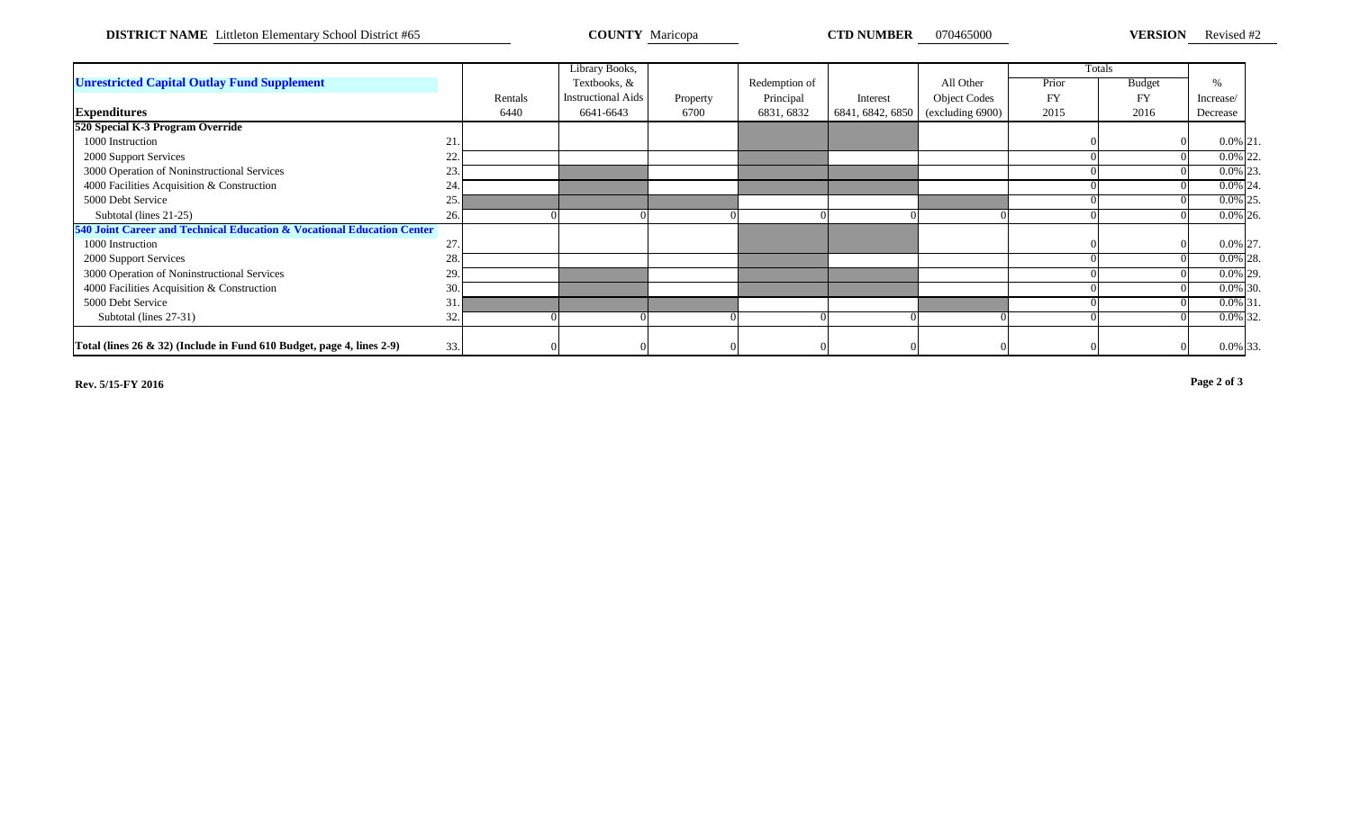**DISTRICT NAME** Littleton Elementary School District #65 **COUNTY Maricopa COUNTY Maricopa CTD NUMBER** 070465000 **VERSION** Revised #2

|                                                                        |     |         | Library Books,            |          |               |                  |                          |       | Totals        |               |  |
|------------------------------------------------------------------------|-----|---------|---------------------------|----------|---------------|------------------|--------------------------|-------|---------------|---------------|--|
| <b>Unrestricted Capital Outlay Fund Supplement</b>                     |     |         | Textbooks, &              |          | Redemption of |                  | All Other                | Prior | <b>Budget</b> | $\frac{0}{6}$ |  |
|                                                                        |     | Rentals | <b>Instructional Aids</b> | Property | Principal     | Interest         | <b>Object Codes</b>      | FY    | <b>FY</b>     | Increase/     |  |
| <b>Expenditures</b>                                                    |     | 6440    | 6641-6643                 | 6700     | 6831, 6832    | 6841, 6842, 6850 | $\left($ excluding 6900) | 2015  | 2016          | Decrease      |  |
| 520 Special K-3 Program Override                                       |     |         |                           |          |               |                  |                          |       |               |               |  |
| 1000 Instruction                                                       | 21  |         |                           |          |               |                  |                          |       |               | $0.0\%$ 21.   |  |
| 2000 Support Services                                                  | 22. |         |                           |          |               |                  |                          |       |               | $0.0\%$ 22.   |  |
| 3000 Operation of Noninstructional Services                            | 23  |         |                           |          |               |                  |                          |       |               | $0.0\%$ 23.   |  |
| 4000 Facilities Acquisition & Construction                             | 24  |         |                           |          |               |                  |                          |       |               | $0.0\%$ 24.   |  |
| 5000 Debt Service                                                      | 25. |         |                           |          |               |                  |                          |       |               | $0.0\%$ 25.   |  |
| Subtotal (lines 21-25)                                                 | 26. |         |                           |          |               |                  |                          |       |               | $0.0\%$ 26.   |  |
| 540 Joint Career and Technical Education & Vocational Education Center |     |         |                           |          |               |                  |                          |       |               |               |  |
| 1000 Instruction                                                       | 27  |         |                           |          |               |                  |                          |       |               | 0.0% 27       |  |
| 2000 Support Services                                                  | 28. |         |                           |          |               |                  |                          |       |               | $0.0\%$ 28.   |  |
| 3000 Operation of Noninstructional Services                            | 29  |         |                           |          |               |                  |                          |       |               | 0.0% 29.      |  |
| 4000 Facilities Acquisition & Construction                             | 30. |         |                           |          |               |                  |                          |       |               | $0.0\%$ 30.   |  |
| 5000 Debt Service                                                      | 31. |         |                           |          |               |                  |                          |       |               | 0.0% 31       |  |
| Subtotal (lines 27-31)                                                 | 32. |         |                           |          |               |                  |                          |       |               | 0.0% 32.      |  |
|                                                                        |     |         |                           |          |               |                  |                          |       |               |               |  |
| Total (lines 26 & 32) (Include in Fund 610 Budget, page 4, lines 2-9)  | 33. |         |                           |          |               |                  |                          |       |               | 0.0% 33       |  |

**Rev. 5/15-FY 2016**

**Page 2 of 3**